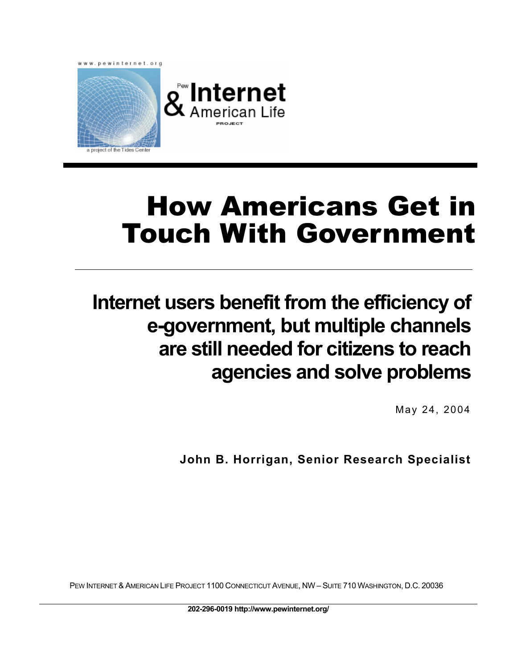

# How Americans Get in Touch With Government

## **Internet users benefit from the efficiency of e-government, but multiple channels are still needed for citizens to reach agencies and solve problems**

May 24, 2004

**John B. Horrigan, Senior Research Specialist** 

PEW INTERNET & AMERICAN LIFE PROJECT 1100 CONNECTICUT AVENUE, NW – SUITE 710 WASHINGTON, D.C. 20036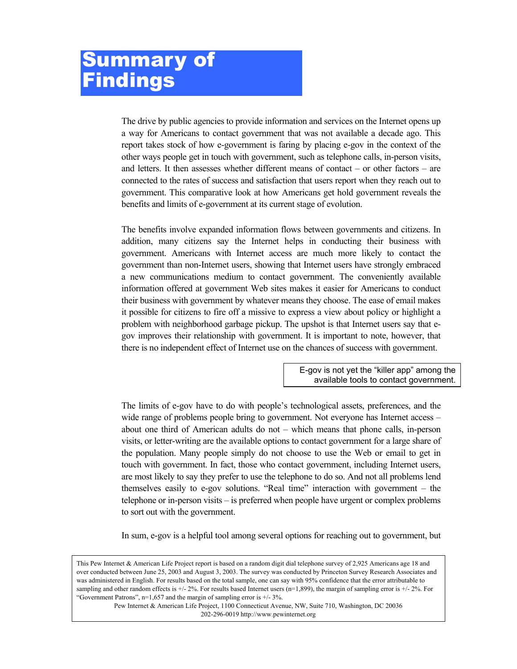## <span id="page-1-0"></span>Summary of **Findings**

The drive by public agencies to provide information and services on the Internet opens up a way for Americans to contact government that was not available a decade ago. This report takes stock of how e-government is faring by placing e-gov in the context of the other ways people get in touch with government, such as telephone calls, in-person visits, and letters. It then assesses whether different means of contact – or other factors – are connected to the rates of success and satisfaction that users report when they reach out to government. This comparative look at how Americans get hold government reveals the benefits and limits of e-government at its current stage of evolution.

The benefits involve expanded information flows between governments and citizens. In addition, many citizens say the Internet helps in conducting their business with government. Americans with Internet access are much more likely to contact the government than non-Internet users, showing that Internet users have strongly embraced a new communications medium to contact government. The conveniently available information offered at government Web sites makes it easier for Americans to conduct their business with government by whatever means they choose. The ease of email makes it possible for citizens to fire off a missive to express a view about policy or highlight a problem with neighborhood garbage pickup. The upshot is that Internet users say that egov improves their relationship with government. It is important to note, however, that there is no independent effect of Internet use on the chances of success with government.

> E-gov is not yet the "killer app" among the available tools to contact government.

The limits of e-gov have to do with people's technological assets, preferences, and the wide range of problems people bring to government. Not everyone has Internet access – about one third of American adults do not – which means that phone calls, in-person visits, or letter-writing are the available options to contact government for a large share of the population. Many people simply do not choose to use the Web or email to get in touch with government. In fact, those who contact government, including Internet users, are most likely to say they prefer to use the telephone to do so. And not all problems lend themselves easily to e-gov solutions. "Real time" interaction with government – the telephone or in-person visits – is preferred when people have urgent or complex problems to sort out with the government.

In sum, e-gov is a helpful tool among several options for reaching out to government, but

Pew Internet & American Life Project, 1100 Connecticut Avenue, NW, Suite 710, Washington, DC 20036 202-296-0019 http://www.pewinternet.org

sampling and other random effects is  $+/- 2\%$ . For results based Internet users (n=1,899), the margin of sampling error is  $+/- 2\%$ . For "Government Patrons",  $n=1,657$  and the margin of sampling error is  $+/- 3\%$ . This Pew Internet & American Life Project report is based on a random digit dial telephone survey of 2,925 Americans age 18 and over conducted between June 25, 2003 and August 3, 2003. The survey was conducted by Princeton Survey Research Associates and was administered in English. For results based on the total sample, one can say with 95% confidence that the error attributable to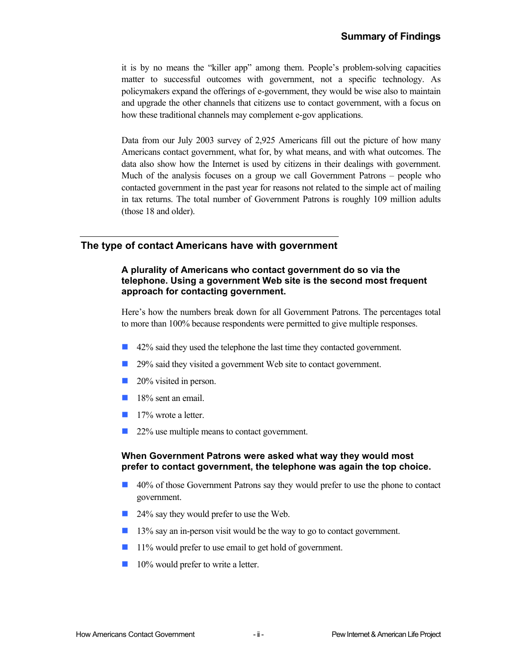it is by no means the "killer app" among them. People's problem-solving capacities matter to successful outcomes with government, not a specific technology. As policymakers expand the offerings of e-government, they would be wise also to maintain and upgrade the other channels that citizens use to contact government, with a focus on how these traditional channels may complement e-gov applications.

Data from our July 2003 survey of 2,925 Americans fill out the picture of how many Americans contact government, what for, by what means, and with what outcomes. The data also show how the Internet is used by citizens in their dealings with government. Much of the analysis focuses on a group we call Government Patrons – people who contacted government in the past year for reasons not related to the simple act of mailing in tax returns. The total number of Government Patrons is roughly 109 million adults (those 18 and older).

## **The type of contact Americans have with government**

#### **A plurality of Americans who contact government do so via the telephone. Using a government Web site is the second most frequent approach for contacting government.**

Here's how the numbers break down for all Government Patrons. The percentages total to more than 100% because respondents were permitted to give multiple responses.

- 42% said they used the telephone the last time they contacted government.
- 29% said they visited a government Web site to contact government.
- 20% visited in person.
- 18% sent an email.
- **17%** wrote a letter.
- 22% use multiple means to contact government.

#### **When Government Patrons were asked what way they would most prefer to contact government, the telephone was again the top choice.**

- 40% of those Government Patrons say they would prefer to use the phone to contact government.
- 24% say they would prefer to use the Web.
- 13% say an in-person visit would be the way to go to contact government.
- 11% would prefer to use email to get hold of government.
- **10%** would prefer to write a letter.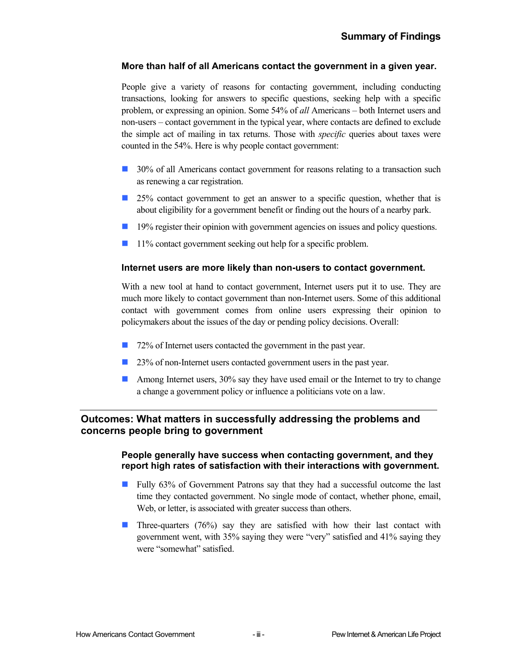### **More than half of all Americans contact the government in a given year.**

People give a variety of reasons for contacting government, including conducting transactions, looking for answers to specific questions, seeking help with a specific problem, or expressing an opinion. Some 54% of *all* Americans – both Internet users and non-users – contact government in the typical year, where contacts are defined to exclude the simple act of mailing in tax returns. Those with *specific* queries about taxes were counted in the 54%. Here is why people contact government:

- 30% of all Americans contact government for reasons relating to a transaction such as renewing a car registration.
- $\Box$  25% contact government to get an answer to a specific question, whether that is about eligibility for a government benefit or finding out the hours of a nearby park.
- **19%** register their opinion with government agencies on issues and policy questions.
- 11% contact government seeking out help for a specific problem.

### **Internet users are more likely than non-users to contact government.**

With a new tool at hand to contact government, Internet users put it to use. They are much more likely to contact government than non-Internet users. Some of this additional contact with government comes from online users expressing their opinion to policymakers about the issues of the day or pending policy decisions. Overall:

- 72% of Internet users contacted the government in the past year.
- 23% of non-Internet users contacted government users in the past year.
- **Among Internet users, 30% say they have used email or the Internet to try to change** a change a government policy or influence a politicians vote on a law.

## **Outcomes: What matters in successfully addressing the problems and concerns people bring to government**

#### **People generally have success when contacting government, and they report high rates of satisfaction with their interactions with government.**

- Fully 63% of Government Patrons say that they had a successful outcome the last time they contacted government. No single mode of contact, whether phone, email, Web, or letter, is associated with greater success than others.
- **Three-quarters** (76%) say they are satisfied with how their last contact with government went, with 35% saying they were "very" satisfied and 41% saying they were "somewhat" satisfied.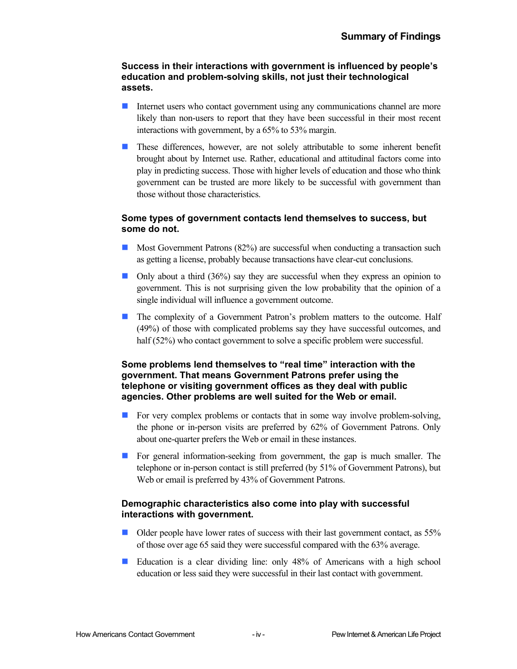#### **Success in their interactions with government is influenced by people's education and problem-solving skills, not just their technological assets.**

- Internet users who contact government using any communications channel are more likely than non-users to report that they have been successful in their most recent interactions with government, by a 65% to 53% margin.  $\mathcal{L}_{\mathcal{A}}$
- **These differences, however, are not solely attributable to some inherent benefit** brought about by Internet use. Rather, educational and attitudinal factors come into play in predicting success. Those with higher levels of education and those who think government can be trusted are more likely to be successful with government than those without those characteristics.

### **Some types of government contacts lend themselves to success, but some do not.**

- Most Government Patrons (82%) are successful when conducting a transaction such as getting a license, probably because transactions have clear-cut conclusions.
- $\Box$  Only about a third (36%) say they are successful when they express an opinion to government. This is not surprising given the low probability that the opinion of a single individual will influence a government outcome.
- **The complexity of a Government Patron's problem matters to the outcome. Half** (49%) of those with complicated problems say they have successful outcomes, and half (52%) who contact government to solve a specific problem were successful.

#### **Some problems lend themselves to "real time" interaction with the government. That means Government Patrons prefer using the telephone or visiting government offices as they deal with public agencies. Other problems are well suited for the Web or email.**

- $\mathcal{L}_{\text{max}}$ For very complex problems or contacts that in some way involve problem-solving, the phone or in-person visits are preferred by 62% of Government Patrons. Only about one-quarter prefers the Web or email in these instances.
- **For general information-seeking from government, the gap is much smaller. The** telephone or in-person contact is still preferred (by 51% of Government Patrons), but Web or email is preferred by 43% of Government Patrons.

## **Demographic characteristics also come into play with successful interactions with government.**

- $\overline{\mathcal{A}}$ Older people have lower rates of success with their last government contact, as 55% of those over age 65 said they were successful compared with the 63% average.
- $\overline{\mathcal{A}}$ Education is a clear dividing line: only 48% of Americans with a high school education or less said they were successful in their last contact with government.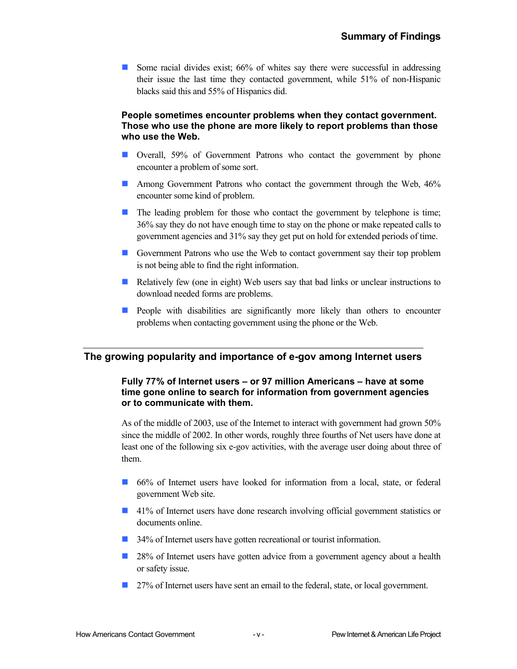Some racial divides exist;  $66\%$  of whites say there were successful in addressing their issue the last time they contacted government, while 51% of non-Hispanic blacks said this and 55% of Hispanics did.

#### **People sometimes encounter problems when they contact government. Those who use the phone are more likely to report problems than those who use the Web.**

- **Overall, 59% of Government Patrons who contact the government by phone** encounter a problem of some sort.
- **Among Government Patrons who contact the government through the Web, 46%** encounter some kind of problem.
- $\blacksquare$  The leading problem for those who contact the government by telephone is time; 36% say they do not have enough time to stay on the phone or make repeated calls to government agencies and 31% say they get put on hold for extended periods of time.
- Government Patrons who use the Web to contact government say their top problem is not being able to find the right information.
- Relatively few (one in eight) Web users say that bad links or unclear instructions to download needed forms are problems.
- **People with disabilities are significantly more likely than others to encounter** problems when contacting government using the phone or the Web.

## **The growing popularity and importance of e-gov among Internet users**

### **Fully 77% of Internet users – or 97 million Americans – have at some time gone online to search for information from government agencies or to communicate with them.**

As of the middle of 2003, use of the Internet to interact with government had grown 50% since the middle of 2002. In other words, roughly three fourths of Net users have done at least one of the following six e-gov activities, with the average user doing about three of them.

- 66% of Internet users have looked for information from a local, state, or federal government Web site.
- 41% of Internet users have done research involving official government statistics or documents online.
- 34% of Internet users have gotten recreational or tourist information.
- 28% of Internet users have gotten advice from a government agency about a health or safety issue.
- 27% of Internet users have sent an email to the federal, state, or local government.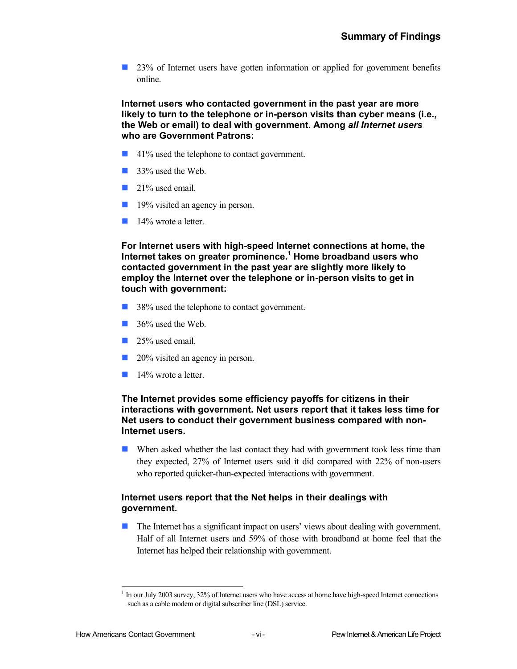23% of Internet users have gotten information or applied for government benefits online.

**Internet users who contacted government in the past year are more likely to turn to the telephone or in-person visits than cyber means (i.e., the Web or email) to deal with government. Among** *all Internet users* **who are Government Patrons:** 

- 41% used the telephone to contact government.
- 33% used the Web.
- 21% used email.
- 19% visited an agency in person.
- **14%** wrote a letter.

**For Internet users with high-speed Internet connections at home, the**  Internet takes on greater prominence.<sup>1</sup> [H](#page-6-0)ome broadband users who **contacted government in the past year are slightly more likely to employ the Internet over the telephone or in-person visits to get in touch with government:** 

- 38% used the telephone to contact government.
- 36% used the Web.
- **25%** used email.
- 20% visited an agency in person.
- 14% wrote a letter.

#### **The Internet provides some efficiency payoffs for citizens in their interactions with government. Net users report that it takes less time for Net users to conduct their government business compared with non-Internet users.**

■ When asked whether the last contact they had with government took less time than they expected, 27% of Internet users said it did compared with 22% of non-users who reported quicker-than-expected interactions with government.

### **Internet users report that the Net helps in their dealings with government.**

 The Internet has a significant impact on users' views about dealing with government. Half of all Internet users and 59% of those with broadband at home feel that the Internet has helped their relationship with government.

1

<span id="page-6-0"></span> $1$  In our July 2003 survey, 32% of Internet users who have access at home have high-speed Internet connections such as a cable modem or digital subscriber line (DSL) service.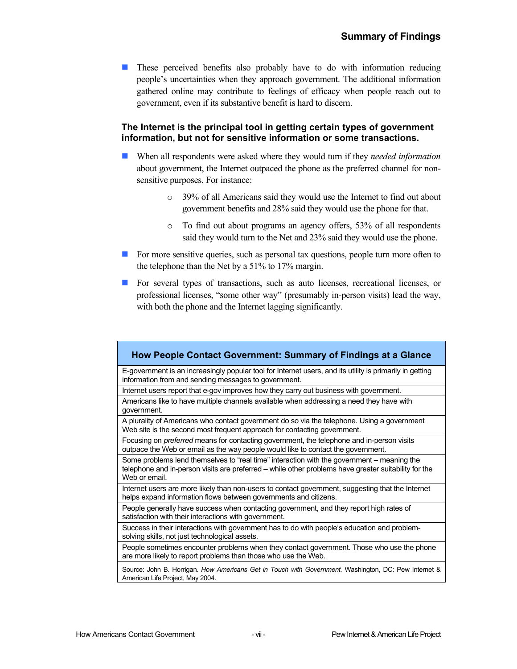**These perceived benefits also probably have to do with information reducing** people's uncertainties when they approach government. The additional information gathered online may contribute to feelings of efficacy when people reach out to government, even if its substantive benefit is hard to discern.

### **The Internet is the principal tool in getting certain types of government information, but not for sensitive information or some transactions.**

- When all respondents were asked where they would turn if they *needed information* about government, the Internet outpaced the phone as the preferred channel for nonsensitive purposes. For instance:
	- o 39% of all Americans said they would use the Internet to find out about government benefits and 28% said they would use the phone for that.
	- o To find out about programs an agency offers, 53% of all respondents said they would turn to the Net and 23% said they would use the phone.
- For more sensitive queries, such as personal tax questions, people turn more often to the telephone than the Net by a 51% to 17% margin.
- For several types of transactions, such as auto licenses, recreational licenses, or professional licenses, "some other way" (presumably in-person visits) lead the way, with both the phone and the Internet lagging significantly.

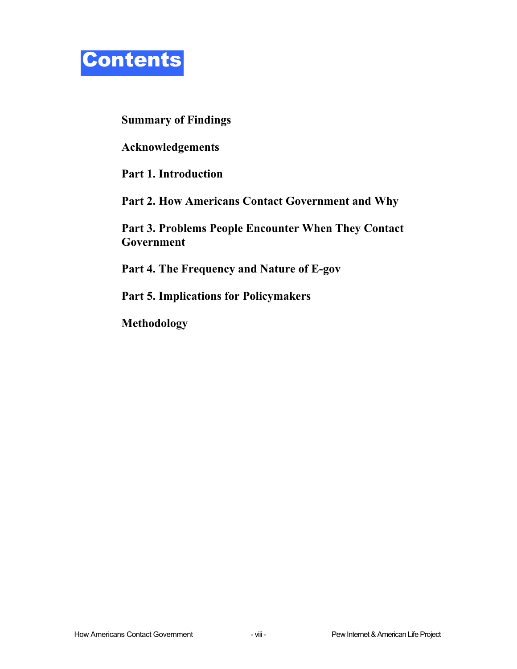

**[Summary of Findings](#page-1-0)** 

**[Acknowledgements](#page-9-0)** 

**Part 1. [Introduction](#page-10-0)** 

**Part 2. [How Americans Contact Government and Why](#page-12-0)** 

**Part 3. [Problems People Encounter When They Contact](#page-25-0)  [Government](#page-25-0)** 

**Part 4. [The Frequency and Nature of E-gov](#page-29-0)** 

**Part 5. [Implications for Policymakers](#page-36-0)** 

**[Methodology](#page-37-0)**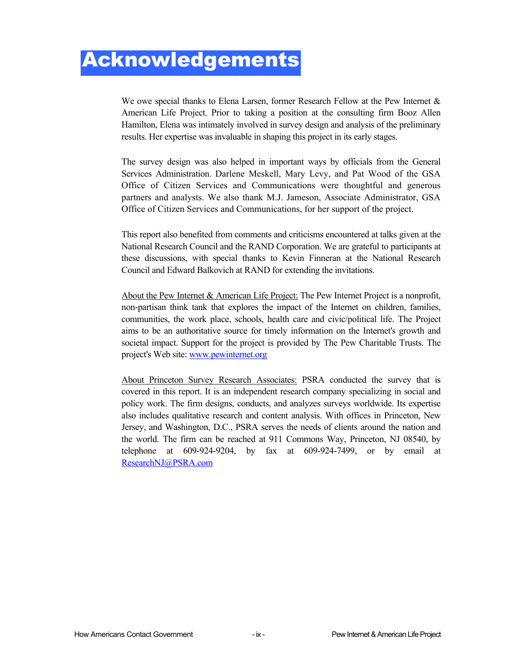## <span id="page-9-0"></span>Acknowledgements

We owe special thanks to Elena Larsen, former Research Fellow at the Pew Internet & American Life Project. Prior to taking a position at the consulting firm Booz Allen Hamilton, Elena was intimately involved in survey design and analysis of the preliminary results. Her expertise was invaluable in shaping this project in its early stages.

The survey design was also helped in important ways by officials from the General Services Administration. Darlene Meskell, Mary Levy, and Pat Wood of the GSA Office of Citizen Services and Communications were thoughtful and generous partners and analysts. We also thank M.J. Jameson, Associate Administrator, GSA Office of Citizen Services and Communications, for her support of the project.

This report also benefited from comments and criticisms encountered at talks given at the National Research Council and the RAND Corporation. We are grateful to participants at these discussions, with special thanks to Kevin Finneran at the National Research Council and Edward Balkovich at RAND for extending the invitations.

About the Pew Internet & American Life Project: The Pew Internet Project is a nonprofit, non-partisan think tank that explores the impact of the Internet on children, families, communities, the work place, schools, health care and civic/political life. The Project aims to be an authoritative source for timely information on the Internet's growth and societal impact. Support for the project is provided by The Pew Charitable Trusts. The project's Web site: [www.pewinternet.org](http://www.pewinternet.org/)

About Princeton Survey Research Associates: PSRA conducted the survey that is covered in this report. It is an independent research company specializing in social and policy work. The firm designs, conducts, and analyzes surveys worldwide. Its expertise also includes qualitative research and content analysis. With offices in Princeton, New Jersey, and Washington, D.C., PSRA serves the needs of clients around the nation and the world. The firm can be reached at 911 Commons Way, Princeton, NJ 08540, by telephone at 609-924-9204, by fax at 609-924-7499, or by email at [ResearchNJ@PSRA.com](mailto:ResearchNJ@PSRA.com)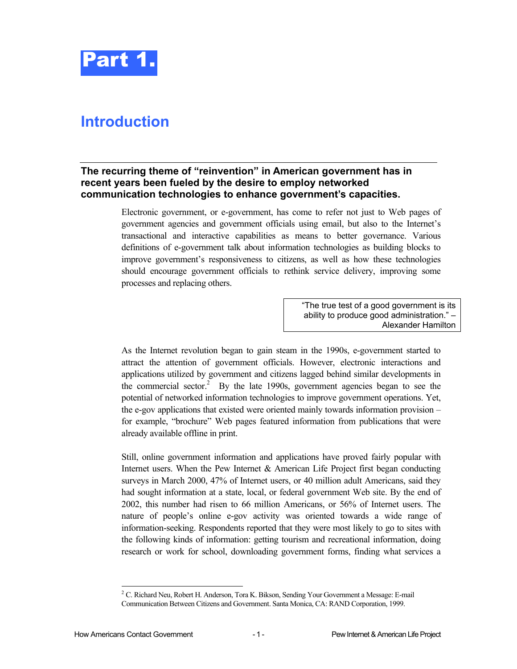

## <span id="page-10-0"></span>**Introduction**

## **The recurring theme of "reinvention" in American government has in recent years been fueled by the desire to employ networked communication technologies to enhance government's capacities.**

Electronic government, or e-government, has come to refer not just to Web pages of government agencies and government officials using email, but also to the Internet's transactional and interactive capabilities as means to better governance. Various definitions of e-government talk about information technologies as building blocks to improve government's responsiveness to citizens, as well as how these technologies should encourage government officials to rethink service delivery, improving some processes and replacing others.

> "The true test of a good government is its ability to produce good administration." – Alexander Hamilton

As the Internet revolution began to gain steam in the 1990s, e-government started to attract the attention of government officials. However, electronic interactions and applications utilized by government and citizens lagged behind similar developments in the commercial sector.<sup>[2](#page-10-1)</sup> By the late 1990s, government agencies began to see the potential of networked information technologies to improve government operations. Yet, the e-gov applications that existed were oriented mainly towards information provision – for example, "brochure" Web pages featured information from publications that were already available offline in print.

Still, online government information and applications have proved fairly popular with Internet users. When the Pew Internet  $\&$  American Life Project first began conducting surveys in March 2000, 47% of Internet users, or 40 million adult Americans, said they had sought information at a state, local, or federal government Web site. By the end of 2002, this number had risen to 66 million Americans, or 56% of Internet users. The nature of people's online e-gov activity was oriented towards a wide range of information-seeking. Respondents reported that they were most likely to go to sites with the following kinds of information: getting tourism and recreational information, doing research or work for school, downloading government forms, finding what services a

<span id="page-10-1"></span> $\frac{1}{2}$ <sup>2</sup> C. Richard Neu, Robert H. Anderson, Tora K. Bikson, Sending Your Government a Message: E-mail Communication Between Citizens and Government. Santa Monica, CA: RAND Corporation, 1999.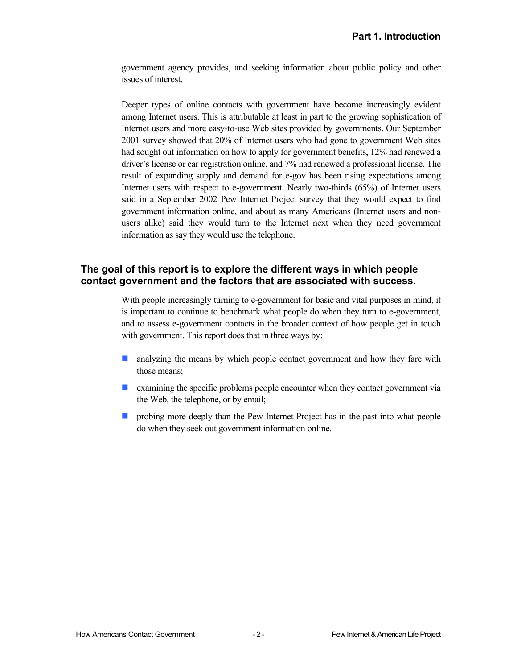government agency provides, and seeking information about public policy and other issues of interest.

Deeper types of online contacts with government have become increasingly evident among Internet users. This is attributable at least in part to the growing sophistication of Internet users and more easy-to-use Web sites provided by governments. Our September 2001 survey showed that 20% of Internet users who had gone to government Web sites had sought out information on how to apply for government benefits, 12% had renewed a driver's license or car registration online, and 7% had renewed a professional license. The result of expanding supply and demand for e-gov has been rising expectations among Internet users with respect to e-government. Nearly two-thirds (65%) of Internet users said in a September 2002 Pew Internet Project survey that they would expect to find government information online, and about as many Americans (Internet users and nonusers alike) said they would turn to the Internet next when they need government information as say they would use the telephone.

## **The goal of this report is to explore the different ways in which people contact government and the factors that are associated with success.**

With people increasingly turning to e-government for basic and vital purposes in mind, it is important to continue to benchmark what people do when they turn to e-government, and to assess e-government contacts in the broader context of how people get in touch with government. This report does that in three ways by:

- $\mathcal{L}(\mathcal{L})$ analyzing the means by which people contact government and how they fare with those means;
- $\blacksquare$  examining the specific problems people encounter when they contact government via the Web, the telephone, or by email;
- **Probing more deeply than the Pew Internet Project has in the past into what people** do when they seek out government information online.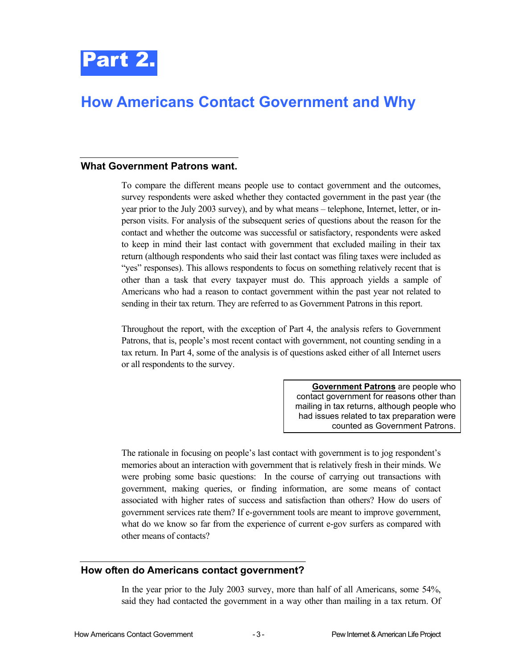<span id="page-12-0"></span>

#### **What Government Patrons want.**

To compare the different means people use to contact government and the outcomes, survey respondents were asked whether they contacted government in the past year (the year prior to the July 2003 survey), and by what means – telephone, Internet, letter, or inperson visits. For analysis of the subsequent series of questions about the reason for the contact and whether the outcome was successful or satisfactory, respondents were asked to keep in mind their last contact with government that excluded mailing in their tax return (although respondents who said their last contact was filing taxes were included as "yes" responses). This allows respondents to focus on something relatively recent that is other than a task that every taxpayer must do. This approach yields a sample of Americans who had a reason to contact government within the past year not related to sending in their tax return. They are referred to as Government Patrons in this report.

Throughout the report, with the exception of Part 4, the analysis refers to Government Patrons, that is, people's most recent contact with government, not counting sending in a tax return. In Part 4, some of the analysis is of questions asked either of all Internet users or all respondents to the survey.

> **Government Patrons** are people who contact government for reasons other than mailing in tax returns, although people who had issues related to tax preparation were counted as Government Patrons.

The rationale in focusing on people's last contact with government is to jog respondent's memories about an interaction with government that is relatively fresh in their minds. We were probing some basic questions: In the course of carrying out transactions with government, making queries, or finding information, are some means of contact associated with higher rates of success and satisfaction than others? How do users of government services rate them? If e-government tools are meant to improve government, what do we know so far from the experience of current e-gov surfers as compared with other means of contacts?

#### **How often do Americans contact government?**

In the year prior to the July 2003 survey, more than half of all Americans, some 54%, said they had contacted the government in a way other than mailing in a tax return. Of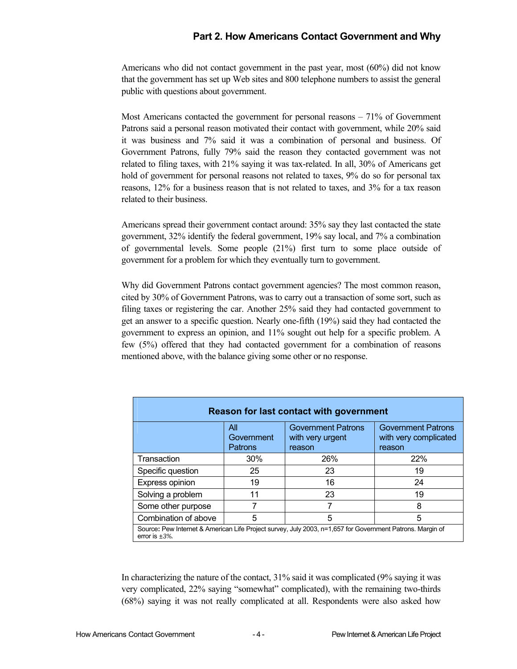Americans who did not contact government in the past year, most (60%) did not know that the government has set up Web sites and 800 telephone numbers to assist the general public with questions about government.

Most Americans contacted the government for personal reasons – 71% of Government Patrons said a personal reason motivated their contact with government, while 20% said it was business and 7% said it was a combination of personal and business. Of Government Patrons, fully 79% said the reason they contacted government was not related to filing taxes, with 21% saying it was tax-related. In all, 30% of Americans get hold of government for personal reasons not related to taxes, 9% do so for personal tax reasons, 12% for a business reason that is not related to taxes, and 3% for a tax reason related to their business.

Americans spread their government contact around: 35% say they last contacted the state government, 32% identify the federal government, 19% say local, and 7% a combination of governmental levels. Some people (21%) first turn to some place outside of government for a problem for which they eventually turn to government.

Why did Government Patrons contact government agencies? The most common reason, cited by 30% of Government Patrons, was to carry out a transaction of some sort, such as filing taxes or registering the car. Another 25% said they had contacted government to get an answer to a specific question. Nearly one-fifth (19%) said they had contacted the government to express an opinion, and 11% sought out help for a specific problem. A few (5%) offered that they had contacted government for a combination of reasons mentioned above, with the balance giving some other or no response.

| Reason for last contact with government                                                                                           |                              |                                                         |                                                              |  |
|-----------------------------------------------------------------------------------------------------------------------------------|------------------------------|---------------------------------------------------------|--------------------------------------------------------------|--|
|                                                                                                                                   | All<br>Government<br>Patrons | <b>Government Patrons</b><br>with very urgent<br>reason | <b>Government Patrons</b><br>with very complicated<br>reason |  |
| Transaction                                                                                                                       | 30%                          | 26%                                                     | <b>22%</b>                                                   |  |
| Specific question                                                                                                                 | 25                           | 23                                                      | 19                                                           |  |
| Express opinion                                                                                                                   | 19                           | 16                                                      | 24                                                           |  |
| Solving a problem                                                                                                                 | 11                           | 23                                                      | 19                                                           |  |
| Some other purpose                                                                                                                |                              |                                                         | 8                                                            |  |
| Combination of above                                                                                                              | 5                            | 5                                                       | 5                                                            |  |
| Source: Pew Internet & American Life Project survey, July 2003, n=1,657 for Government Patrons. Margin of<br>error is $\pm 3\%$ . |                              |                                                         |                                                              |  |

In characterizing the nature of the contact, 31% said it was complicated (9% saying it was very complicated, 22% saying "somewhat" complicated), with the remaining two-thirds (68%) saying it was not really complicated at all. Respondents were also asked how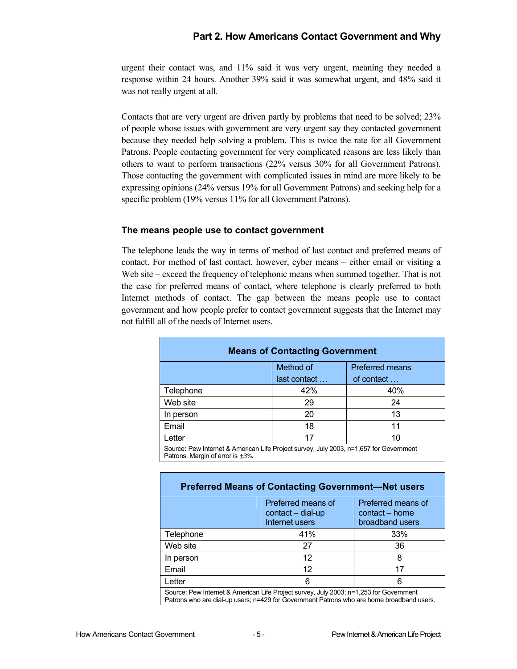urgent their contact was, and 11% said it was very urgent, meaning they needed a response within 24 hours. Another 39% said it was somewhat urgent, and 48% said it was not really urgent at all.

Contacts that are very urgent are driven partly by problems that need to be solved; 23% of people whose issues with government are very urgent say they contacted government because they needed help solving a problem. This is twice the rate for all Government Patrons. People contacting government for very complicated reasons are less likely than others to want to perform transactions (22% versus 30% for all Government Patrons). Those contacting the government with complicated issues in mind are more likely to be expressing opinions (24% versus 19% for all Government Patrons) and seeking help for a specific problem (19% versus 11% for all Government Patrons).

#### **The means people use to contact government**

The telephone leads the way in terms of method of last contact and preferred means of contact. For method of last contact, however, cyber means – either email or visiting a Web site – exceed the frequency of telephonic means when summed together. That is not the case for preferred means of contact, where telephone is clearly preferred to both Internet methods of contact. The gap between the means people use to contact government and how people prefer to contact government suggests that the Internet may not fulfill all of the needs of Internet users.

|           | <b>Means of Contacting Government</b> |            |  |  |  |
|-----------|---------------------------------------|------------|--|--|--|
|           | Method of<br><b>Preferred means</b>   |            |  |  |  |
|           | last contact                          | of contact |  |  |  |
| Telephone | 42%                                   | 40%        |  |  |  |
| Web site  | 29                                    | 24         |  |  |  |
| In person | 20                                    | 13         |  |  |  |
| Email     | 18                                    | 11         |  |  |  |
| Letter    | 17                                    | 10         |  |  |  |

| <b>Preferred Means of Contacting Government-Net users</b>                                                                                                                           |                                                           |                                                         |  |
|-------------------------------------------------------------------------------------------------------------------------------------------------------------------------------------|-----------------------------------------------------------|---------------------------------------------------------|--|
|                                                                                                                                                                                     | Preferred means of<br>contact - dial-up<br>Internet users | Preferred means of<br>contact - home<br>broadband users |  |
| Telephone                                                                                                                                                                           | 41%                                                       | 33%                                                     |  |
| Web site                                                                                                                                                                            | 27                                                        | 36                                                      |  |
| In person                                                                                                                                                                           | 12                                                        | 8                                                       |  |
| Email                                                                                                                                                                               | 12                                                        | 17                                                      |  |
| Letter                                                                                                                                                                              | 6                                                         | 6                                                       |  |
| Source: Pew Internet & American Life Project survey, July 2003; n=1,253 for Government<br>Patrons who are dial-up users; n=429 for Government Patrons who are home broadband users. |                                                           |                                                         |  |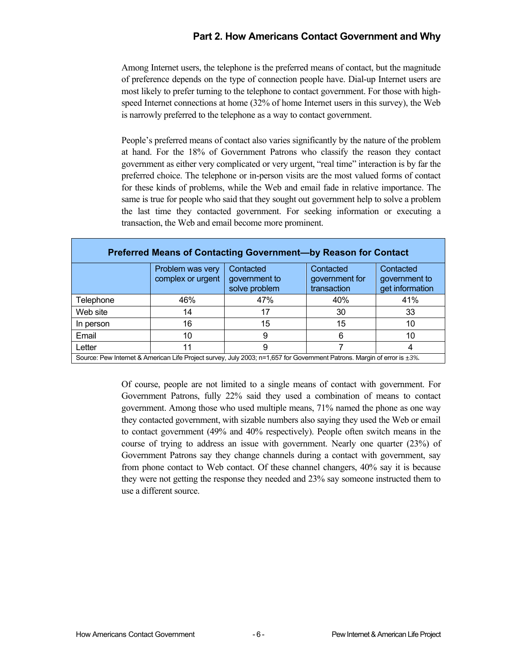Among Internet users, the telephone is the preferred means of contact, but the magnitude of preference depends on the type of connection people have. Dial-up Internet users are most likely to prefer turning to the telephone to contact government. For those with highspeed Internet connections at home (32% of home Internet users in this survey), the Web is narrowly preferred to the telephone as a way to contact government.

People's preferred means of contact also varies significantly by the nature of the problem at hand. For the 18% of Government Patrons who classify the reason they contact government as either very complicated or very urgent, "real time" interaction is by far the preferred choice. The telephone or in-person visits are the most valued forms of contact for these kinds of problems, while the Web and email fade in relative importance. The same is true for people who said that they sought out government help to solve a problem the last time they contacted government. For seeking information or executing a transaction, the Web and email become more prominent.

| <b>Preferred Means of Contacting Government-by Reason for Contact</b>                                                   |                                       |                                             |                                            |                                               |
|-------------------------------------------------------------------------------------------------------------------------|---------------------------------------|---------------------------------------------|--------------------------------------------|-----------------------------------------------|
|                                                                                                                         | Problem was very<br>complex or urgent | Contacted<br>government to<br>solve problem | Contacted<br>government for<br>transaction | Contacted<br>government to<br>get information |
| Telephone                                                                                                               | 46%                                   | 47%                                         | 40%                                        | 41%                                           |
| Web site                                                                                                                | 14                                    | 17                                          | 30                                         | 33                                            |
| In person                                                                                                               | 16                                    | 15                                          | 15                                         | 10                                            |
| Email                                                                                                                   | 10                                    | 9                                           | 6                                          | 10                                            |
| Letter                                                                                                                  | 11                                    | 9                                           |                                            | 4                                             |
| Source: Pew Internet & American Life Project survey, July 2003; n=1,657 for Government Patrons. Margin of error is ±3%. |                                       |                                             |                                            |                                               |

Of course, people are not limited to a single means of contact with government. For Government Patrons, fully 22% said they used a combination of means to contact government. Among those who used multiple means, 71% named the phone as one way they contacted government, with sizable numbers also saying they used the Web or email to contact government (49% and 40% respectively). People often switch means in the course of trying to address an issue with government. Nearly one quarter (23%) of Government Patrons say they change channels during a contact with government, say from phone contact to Web contact. Of these channel changers, 40% say it is because they were not getting the response they needed and 23% say someone instructed them to use a different source.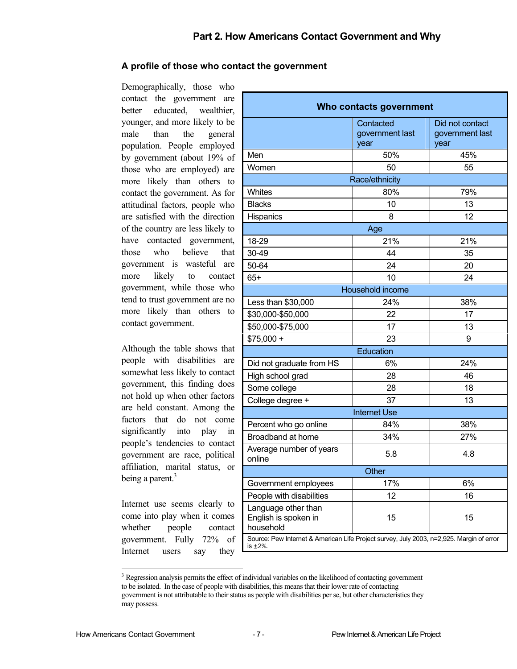## **A profile of those who contact the government**

Demographically, those who contact the government are better educated, wealthier, younger, and more likely to be male than the general population. People employed by government (about 19% of those who are employed) are more likely than others to contact the government. As for attitudinal factors, people who are satisfied with the direction of the country are less likely to have contacted government, those who believe that government is wasteful are more likely to contact government, while those who tend to trust government are no more likely than others to contact government.

Although the table shows that people with disabilities are somewhat less likely to contact government, this finding does not hold up when other factors are held constant. Among the factors that do not come significantly into play in people's tendencies to contact government are race, political affiliation, marital status, or being a parent.<sup>[3](#page-16-0)</sup>

Internet use seems clearly to come into play when it comes whether people contact government. Fully 72% of Internet users say they

| Who contacts government                                                                             |                                      |                                            |  |  |
|-----------------------------------------------------------------------------------------------------|--------------------------------------|--------------------------------------------|--|--|
|                                                                                                     | Contacted<br>government last<br>year | Did not contact<br>government last<br>year |  |  |
| Men                                                                                                 | 50%                                  | 45%                                        |  |  |
| Women                                                                                               | 50                                   | 55                                         |  |  |
|                                                                                                     | Race/ethnicity                       |                                            |  |  |
| Whites                                                                                              | 80%                                  | 79%                                        |  |  |
| <b>Blacks</b>                                                                                       | 10                                   | 13                                         |  |  |
| Hispanics                                                                                           | 8                                    | 12                                         |  |  |
|                                                                                                     | Age                                  |                                            |  |  |
| 18-29                                                                                               | 21%                                  | 21%                                        |  |  |
| 30-49                                                                                               | 44                                   | 35                                         |  |  |
| 50-64                                                                                               | 24                                   | 20                                         |  |  |
| $65+$                                                                                               | 10                                   | 24                                         |  |  |
|                                                                                                     | Household income                     |                                            |  |  |
| Less than \$30,000                                                                                  | 24%                                  | 38%                                        |  |  |
| \$30,000-\$50,000                                                                                   | 22                                   | 17                                         |  |  |
| \$50,000-\$75,000                                                                                   | 17                                   | 13                                         |  |  |
| $$75,000 +$                                                                                         | 23                                   | 9                                          |  |  |
|                                                                                                     | Education                            |                                            |  |  |
| Did not graduate from HS                                                                            | 6%                                   | 24%                                        |  |  |
| High school grad                                                                                    | 28                                   | 46                                         |  |  |
| Some college                                                                                        | 28                                   | 18                                         |  |  |
| College degree +                                                                                    | 37                                   | 13                                         |  |  |
|                                                                                                     | <b>Internet Use</b>                  |                                            |  |  |
| Percent who go online                                                                               | 84%                                  | 38%                                        |  |  |
| Broadband at home                                                                                   | 34%                                  | 27%                                        |  |  |
| Average number of years<br>online                                                                   | 5.8                                  | 4.8                                        |  |  |
| Other                                                                                               |                                      |                                            |  |  |
| Government employees                                                                                | 17%                                  | 6%                                         |  |  |
| People with disabilities                                                                            | 12                                   | 16                                         |  |  |
| Language other than<br>English is spoken in<br>household                                            | 15                                   | 15                                         |  |  |
| Source: Pew Internet & American Life Project survey, July 2003, n=2,925. Margin of error<br>is ±2%. |                                      |                                            |  |  |

<span id="page-16-0"></span> $\frac{1}{3}$ <sup>3</sup> Regression analysis permits the effect of individual variables on the likelihood of contacting government to be isolated. In the case of people with disabilities, this means that their lower rate of contacting government is not attributable to their status as people with disabilities per se, but other characteristics they may possess.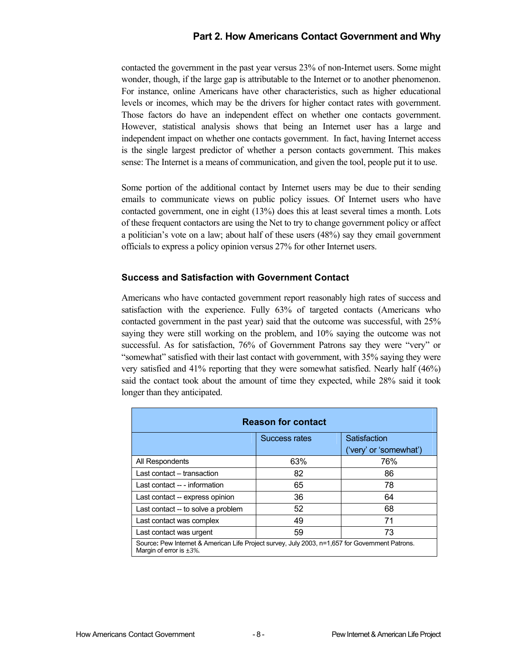contacted the government in the past year versus 23% of non-Internet users. Some might wonder, though, if the large gap is attributable to the Internet or to another phenomenon. For instance, online Americans have other characteristics, such as higher educational levels or incomes, which may be the drivers for higher contact rates with government. Those factors do have an independent effect on whether one contacts government. However, statistical analysis shows that being an Internet user has a large and independent impact on whether one contacts government. In fact, having Internet access is the single largest predictor of whether a person contacts government. This makes sense: The Internet is a means of communication, and given the tool, people put it to use.

Some portion of the additional contact by Internet users may be due to their sending emails to communicate views on public policy issues. Of Internet users who have contacted government, one in eight (13%) does this at least several times a month. Lots of these frequent contactors are using the Net to try to change government policy or affect a politician's vote on a law; about half of these users (48%) say they email government officials to express a policy opinion versus 27% for other Internet users.

### **Success and Satisfaction with Government Contact**

Americans who have contacted government report reasonably high rates of success and satisfaction with the experience. Fully 63% of targeted contacts (Americans who contacted government in the past year) said that the outcome was successful, with 25% saying they were still working on the problem, and 10% saying the outcome was not successful. As for satisfaction, 76% of Government Patrons say they were "very" or "somewhat" satisfied with their last contact with government, with 35% saying they were very satisfied and 41% reporting that they were somewhat satisfied. Nearly half (46%) said the contact took about the amount of time they expected, while 28% said it took longer than they anticipated.

| <b>Reason for contact</b>                                                                                                         |     |                        |  |
|-----------------------------------------------------------------------------------------------------------------------------------|-----|------------------------|--|
| Satisfaction<br>Success rates                                                                                                     |     |                        |  |
|                                                                                                                                   |     | ('very' or 'somewhat') |  |
| All Respondents                                                                                                                   | 63% | 76%                    |  |
| Last contact - transaction                                                                                                        | 82  | 86                     |  |
| Last contact -- - information                                                                                                     | 65  | 78                     |  |
| Last contact -- express opinion                                                                                                   | 36  | 64                     |  |
| Last contact -- to solve a problem                                                                                                | 52  | 68                     |  |
| Last contact was complex                                                                                                          | 49  | 71                     |  |
| 59<br>73<br>Last contact was urgent                                                                                               |     |                        |  |
| Source: Pew Internet & American Life Project survey, July 2003, n=1,657 for Government Patrons.<br>Margin of error is $\pm 3\%$ . |     |                        |  |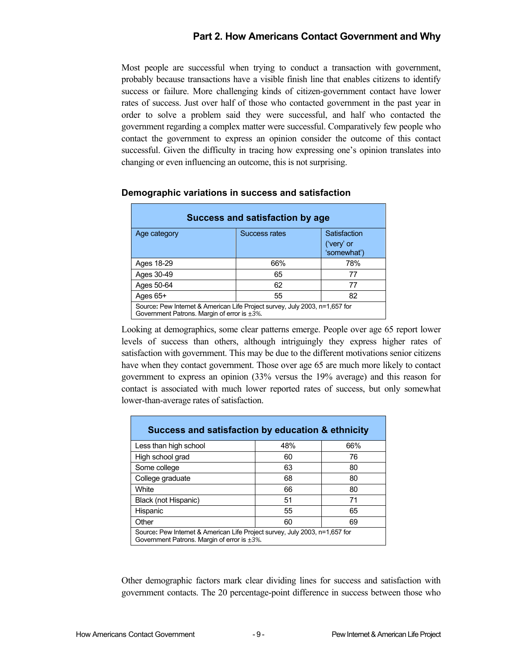Most people are successful when trying to conduct a transaction with government, probably because transactions have a visible finish line that enables citizens to identify success or failure. More challenging kinds of citizen-government contact have lower rates of success. Just over half of those who contacted government in the past year in order to solve a problem said they were successful, and half who contacted the government regarding a complex matter were successful. Comparatively few people who contact the government to express an opinion consider the outcome of this contact successful. Given the difficulty in tracing how expressing one's opinion translates into changing or even influencing an outcome, this is not surprising.

| Success and satisfaction by age                                                                                                   |               |                                           |  |  |
|-----------------------------------------------------------------------------------------------------------------------------------|---------------|-------------------------------------------|--|--|
| Age category                                                                                                                      | Success rates | Satisfaction<br>('very' or<br>'somewhat') |  |  |
| Ages 18-29                                                                                                                        | 66%           | 78%                                       |  |  |
| Ages 30-49                                                                                                                        | 65            | 77                                        |  |  |
| Ages 50-64                                                                                                                        | 62            | 77                                        |  |  |
| Ages 65+                                                                                                                          | 55            | 82                                        |  |  |
| Source: Pew Internet & American Life Project survey, July 2003, n=1,657 for<br>Government Patrons. Margin of error is $\pm 3\%$ . |               |                                           |  |  |

#### **Demographic variations in success and satisfaction**

Looking at demographics, some clear patterns emerge. People over age 65 report lower levels of success than others, although intriguingly they express higher rates of satisfaction with government. This may be due to the different motivations senior citizens have when they contact government. Those over age 65 are much more likely to contact government to express an opinion (33% versus the 19% average) and this reason for contact is associated with much lower reported rates of success, but only somewhat lower-than-average rates of satisfaction.

| Success and satisfaction by education & ethnicity                                                                                 |     |     |  |  |
|-----------------------------------------------------------------------------------------------------------------------------------|-----|-----|--|--|
| Less than high school                                                                                                             | 48% | 66% |  |  |
| High school grad                                                                                                                  | 60  | 76  |  |  |
| Some college                                                                                                                      | 63  | 80  |  |  |
| College graduate                                                                                                                  | 68  | 80  |  |  |
| White                                                                                                                             | 66  | 80  |  |  |
| Black (not Hispanic)                                                                                                              | 51  | 71  |  |  |
| Hispanic                                                                                                                          | 55  | 65  |  |  |
| Other                                                                                                                             | 60  | 69  |  |  |
| Source: Pew Internet & American Life Project survey, July 2003, n=1,657 for<br>Government Patrons. Margin of error is $\pm 3\%$ . |     |     |  |  |

Other demographic factors mark clear dividing lines for success and satisfaction with government contacts. The 20 percentage-point difference in success between those who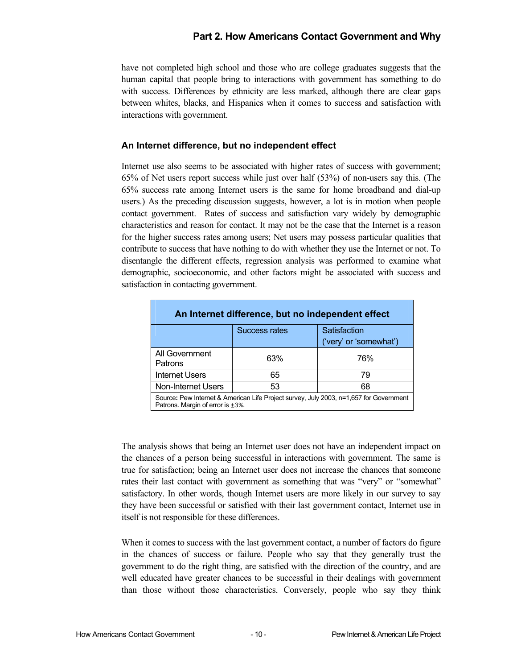have not completed high school and those who are college graduates suggests that the human capital that people bring to interactions with government has something to do with success. Differences by ethnicity are less marked, although there are clear gaps between whites, blacks, and Hispanics when it comes to success and satisfaction with interactions with government.

#### **An Internet difference, but no independent effect**

Internet use also seems to be associated with higher rates of success with government; 65% of Net users report success while just over half (53%) of non-users say this. (The 65% success rate among Internet users is the same for home broadband and dial-up users.) As the preceding discussion suggests, however, a lot is in motion when people contact government. Rates of success and satisfaction vary widely by demographic characteristics and reason for contact. It may not be the case that the Internet is a reason for the higher success rates among users; Net users may possess particular qualities that contribute to success that have nothing to do with whether they use the Internet or not. To disentangle the different effects, regression analysis was performed to examine what demographic, socioeconomic, and other factors might be associated with success and satisfaction in contacting government.

| An Internet difference, but no independent effect                                                                                 |                      |                        |  |  |
|-----------------------------------------------------------------------------------------------------------------------------------|----------------------|------------------------|--|--|
|                                                                                                                                   | <b>Success rates</b> | Satisfaction           |  |  |
|                                                                                                                                   |                      | ('very' or 'somewhat') |  |  |
| All Government<br>Patrons                                                                                                         | 63%                  | 76%                    |  |  |
| <b>Internet Users</b>                                                                                                             | 65                   | 79                     |  |  |
| <b>Non-Internet Users</b>                                                                                                         | 53                   | 68                     |  |  |
| Source: Pew Internet & American Life Project survey, July 2003, n=1,657 for Government<br>Patrons. Margin of error is $\pm 3\%$ . |                      |                        |  |  |

The analysis shows that being an Internet user does not have an independent impact on the chances of a person being successful in interactions with government. The same is true for satisfaction; being an Internet user does not increase the chances that someone rates their last contact with government as something that was "very" or "somewhat" satisfactory. In other words, though Internet users are more likely in our survey to say they have been successful or satisfied with their last government contact, Internet use in itself is not responsible for these differences.

When it comes to success with the last government contact, a number of factors do figure in the chances of success or failure. People who say that they generally trust the government to do the right thing, are satisfied with the direction of the country, and are well educated have greater chances to be successful in their dealings with government than those without those characteristics. Conversely, people who say they think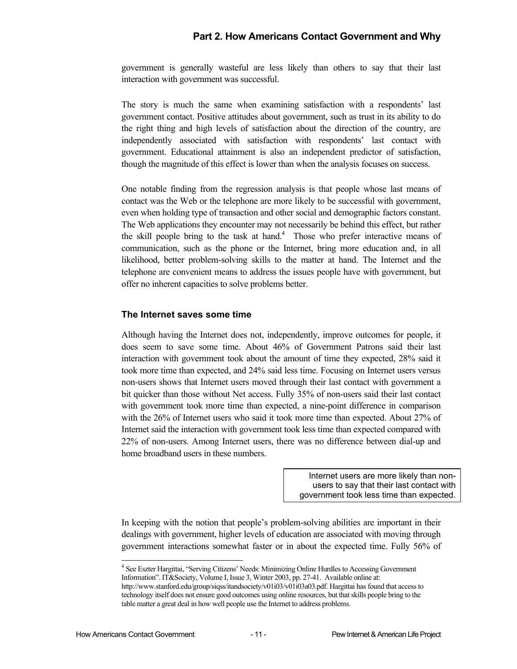government is generally wasteful are less likely than others to say that their last interaction with government was successful.

The story is much the same when examining satisfaction with a respondents' last government contact. Positive attitudes about government, such as trust in its ability to do the right thing and high levels of satisfaction about the direction of the country, are independently associated with satisfaction with respondents' last contact with government. Educational attainment is also an independent predictor of satisfaction, though the magnitude of this effect is lower than when the analysis focuses on success.

One notable finding from the regression analysis is that people whose last means of contact was the Web or the telephone are more likely to be successful with government, even when holding type of transaction and other social and demographic factors constant. The Web applications they encounter may not necessarily be behind this effect, but rather the skill people bring to the task at hand.<sup>[4](#page-20-0)</sup> Those who prefer interactive means of communication, such as the phone or the Internet, bring more education and, in all likelihood, better problem-solving skills to the matter at hand. The Internet and the telephone are convenient means to address the issues people have with government, but offer no inherent capacities to solve problems better.

#### **The Internet saves some time**

Although having the Internet does not, independently, improve outcomes for people, it does seem to save some time. About 46% of Government Patrons said their last interaction with government took about the amount of time they expected, 28% said it took more time than expected, and 24% said less time. Focusing on Internet users versus non-users shows that Internet users moved through their last contact with government a bit quicker than those without Net access. Fully 35% of non-users said their last contact with government took more time than expected, a nine-point difference in comparison with the 26% of Internet users who said it took more time than expected. About 27% of Internet said the interaction with government took less time than expected compared with 22% of non-users. Among Internet users, there was no difference between dial-up and home broadband users in these numbers.

> Internet users are more likely than nonusers to say that their last contact with government took less time than expected.

In keeping with the notion that people's problem-solving abilities are important in their dealings with government, higher levels of education are associated with moving through government interactions somewhat faster or in about the expected time. Fully 56% of

 $\overline{\phantom{a}}$ 

<span id="page-20-0"></span><sup>&</sup>lt;sup>4</sup> See Eszter Hargittai, "Serving Citizens' Needs: Minimizing Online Hurdles to Accessing Government Information". IT&Society, Volume I, Issue 3, Winter 2003, pp. 27-41. Available online at:

http://www.stanford.edu/group/siqss/itandsociety/v01i03/v01i03a03.pdf. Hargittai has found that access to technology itself does not ensure good outcomes using online resources, but that skills people bring to the table matter a great deal in how well people use the Internet to address problems.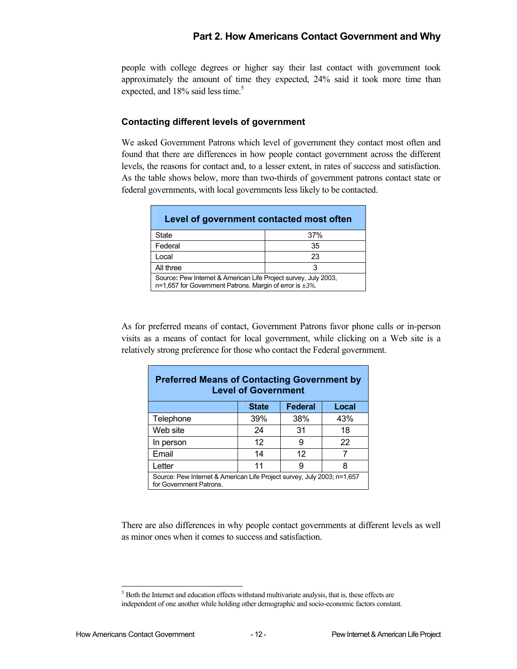people with college degrees or higher say their last contact with government took approximately the amount of time they expected, 24% said it took more time than expected, and  $18\%$  said less time.<sup>[5](#page-21-0)</sup>

#### **Contacting different levels of government**

We asked Government Patrons which level of government they contact most often and found that there are differences in how people contact government across the different levels, the reasons for contact and, to a lesser extent, in rates of success and satisfaction. As the table shows below, more than two-thirds of government patrons contact state or federal governments, with local governments less likely to be contacted.

| Level of government contacted most often                                                                                   |     |  |  |
|----------------------------------------------------------------------------------------------------------------------------|-----|--|--|
| State                                                                                                                      | 37% |  |  |
| Federal                                                                                                                    | 35  |  |  |
| Local                                                                                                                      | 23  |  |  |
| All three                                                                                                                  | з   |  |  |
| Source: Pew Internet & American Life Project survey, July 2003,<br>n=1,657 for Government Patrons. Margin of error is +3%. |     |  |  |

As for preferred means of contact, Government Patrons favor phone calls or in-person visits as a means of contact for local government, while clicking on a Web site is a relatively strong preference for those who contact the Federal government.

| <b>Preferred Means of Contacting Government by</b><br><b>Level of Government</b>                   |     |     |     |  |  |  |
|----------------------------------------------------------------------------------------------------|-----|-----|-----|--|--|--|
| <b>Federal</b><br>Local<br><b>State</b>                                                            |     |     |     |  |  |  |
| Telephone                                                                                          | 39% | 38% | 43% |  |  |  |
| Web site                                                                                           | 24  | 31  | 18  |  |  |  |
| In person                                                                                          | 12  | 9   | 22  |  |  |  |
| Email                                                                                              | 14  | 12  | 7   |  |  |  |
| Letter                                                                                             | 11  | 9   | 8   |  |  |  |
| Source: Pew Internet & American Life Project survey, July 2003; n=1,657<br>for Government Patrons. |     |     |     |  |  |  |

There are also differences in why people contact governments at different levels as well as minor ones when it comes to success and satisfaction.

l

<span id="page-21-0"></span> $<sup>5</sup>$  Both the Internet and education effects withstand multivariate analysis, that is, these effects are</sup> independent of one another while holding other demographic and socio-economic factors constant.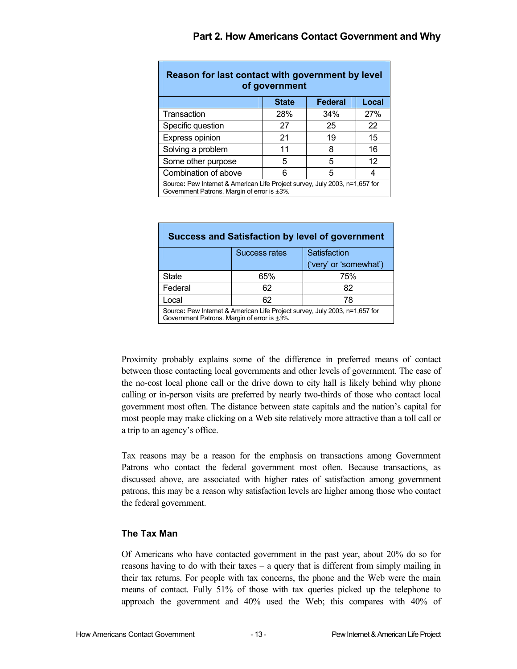| Reason for last contact with government by level<br>of government                                                          |     |     |                   |  |
|----------------------------------------------------------------------------------------------------------------------------|-----|-----|-------------------|--|
| Local<br><b>Federal</b><br><b>State</b>                                                                                    |     |     |                   |  |
| Transaction                                                                                                                | 28% | 34% | 27%               |  |
| Specific question                                                                                                          | 27  | 25  | 22                |  |
| Express opinion                                                                                                            | 21  | 19  | 15                |  |
| Solving a problem                                                                                                          | 11  | 8   | 16                |  |
| Some other purpose                                                                                                         | 5   | 5   | $12 \overline{ }$ |  |
| Combination of above                                                                                                       | 6   | 5   | 4                 |  |
| Source: Pew Internet & American Life Project survey, July 2003, n=1,657 for<br>Government Patrons. Margin of error is ±3%. |     |     |                   |  |

| <b>Success and Satisfaction by level of government</b>                                                                     |                                      |                        |  |  |  |  |  |
|----------------------------------------------------------------------------------------------------------------------------|--------------------------------------|------------------------|--|--|--|--|--|
|                                                                                                                            | <b>Success rates</b><br>Satisfaction |                        |  |  |  |  |  |
|                                                                                                                            |                                      | ('very' or 'somewhat') |  |  |  |  |  |
| <b>State</b>                                                                                                               | 65%                                  | 75%                    |  |  |  |  |  |
| Federal                                                                                                                    | 62                                   | 82                     |  |  |  |  |  |
| 62<br>Local<br>78                                                                                                          |                                      |                        |  |  |  |  |  |
| Source: Pew Internet & American Life Project survey, July 2003, n=1,657 for<br>Government Patrons. Margin of error is ±3%. |                                      |                        |  |  |  |  |  |

Proximity probably explains some of the difference in preferred means of contact between those contacting local governments and other levels of government. The ease of the no-cost local phone call or the drive down to city hall is likely behind why phone calling or in-person visits are preferred by nearly two-thirds of those who contact local government most often. The distance between state capitals and the nation's capital for most people may make clicking on a Web site relatively more attractive than a toll call or a trip to an agency's office.

Tax reasons may be a reason for the emphasis on transactions among Government Patrons who contact the federal government most often. Because transactions, as discussed above, are associated with higher rates of satisfaction among government patrons, this may be a reason why satisfaction levels are higher among those who contact the federal government.

## **The Tax Man**

Of Americans who have contacted government in the past year, about 20% do so for reasons having to do with their taxes – a query that is different from simply mailing in their tax returns. For people with tax concerns, the phone and the Web were the main means of contact. Fully 51% of those with tax queries picked up the telephone to approach the government and 40% used the Web; this compares with 40% of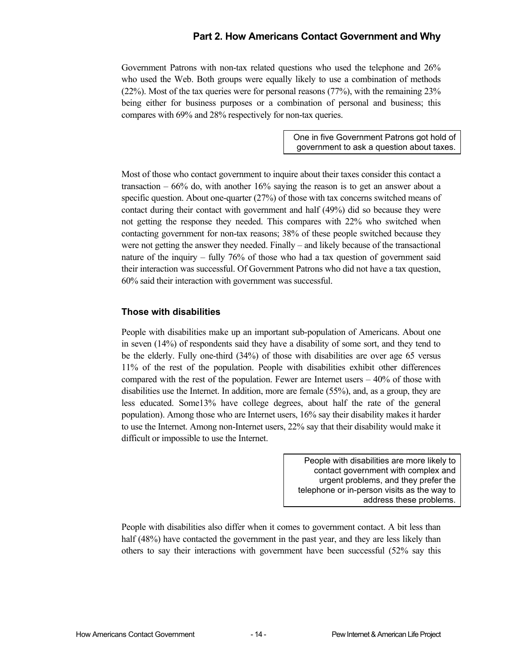Government Patrons with non-tax related questions who used the telephone and 26% who used the Web. Both groups were equally likely to use a combination of methods (22%). Most of the tax queries were for personal reasons (77%), with the remaining 23% being either for business purposes or a combination of personal and business; this compares with 69% and 28% respectively for non-tax queries.

> One in five Government Patrons got hold of government to ask a question about taxes.

Most of those who contact government to inquire about their taxes consider this contact a transaction  $-66%$  do, with another 16% saying the reason is to get an answer about a specific question. About one-quarter (27%) of those with tax concerns switched means of contact during their contact with government and half (49%) did so because they were not getting the response they needed. This compares with 22% who switched when contacting government for non-tax reasons; 38% of these people switched because they were not getting the answer they needed. Finally – and likely because of the transactional nature of the inquiry – fully 76% of those who had a tax question of government said their interaction was successful. Of Government Patrons who did not have a tax question, 60% said their interaction with government was successful.

### **Those with disabilities**

People with disabilities make up an important sub-population of Americans. About one in seven (14%) of respondents said they have a disability of some sort, and they tend to be the elderly. Fully one-third (34%) of those with disabilities are over age 65 versus 11% of the rest of the population. People with disabilities exhibit other differences compared with the rest of the population. Fewer are Internet users  $-40\%$  of those with disabilities use the Internet. In addition, more are female (55%), and, as a group, they are less educated. Some13% have college degrees, about half the rate of the general population). Among those who are Internet users, 16% say their disability makes it harder to use the Internet. Among non-Internet users, 22% say that their disability would make it difficult or impossible to use the Internet.

> People with disabilities are more likely to contact government with complex and urgent problems, and they prefer the telephone or in-person visits as the way to address these problems.

People with disabilities also differ when it comes to government contact. A bit less than half (48%) have contacted the government in the past year, and they are less likely than others to say their interactions with government have been successful (52% say this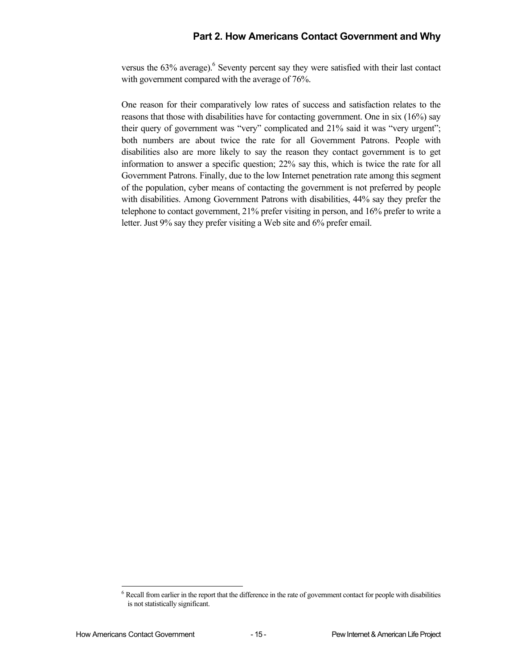versus the  $63\%$  $63\%$  average). Seventy percent say they were satisfied with their last contact with government compared with the average of 76%.

One reason for their comparatively low rates of success and satisfaction relates to the reasons that those with disabilities have for contacting government. One in six (16%) say their query of government was "very" complicated and 21% said it was "very urgent"; both numbers are about twice the rate for all Government Patrons. People with disabilities also are more likely to say the reason they contact government is to get information to answer a specific question; 22% say this, which is twice the rate for all Government Patrons. Finally, due to the low Internet penetration rate among this segment of the population, cyber means of contacting the government is not preferred by people with disabilities. Among Government Patrons with disabilities, 44% say they prefer the telephone to contact government, 21% prefer visiting in person, and 16% prefer to write a letter. Just 9% say they prefer visiting a Web site and 6% prefer email.

l

<span id="page-24-0"></span> $6$  Recall from earlier in the report that the difference in the rate of government contact for people with disabilities is not statistically significant.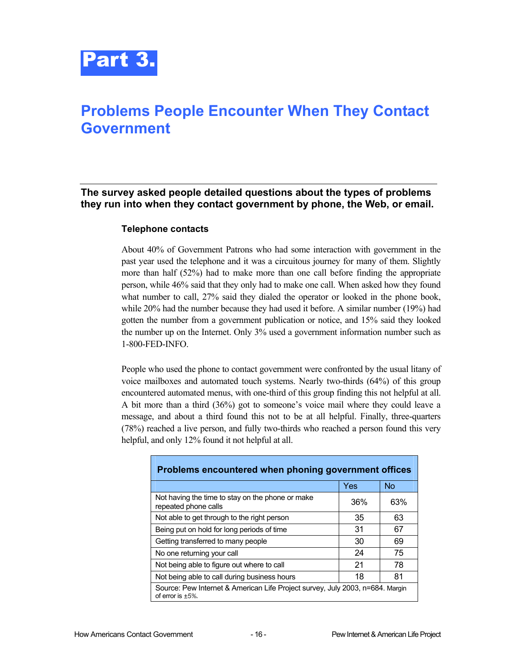

## <span id="page-25-0"></span>**Problems People Encounter When They Contact Government**

**The survey asked people detailed questions about the types of problems they run into when they contact government by phone, the Web, or email.** 

#### **Telephone contacts**

About 40% of Government Patrons who had some interaction with government in the past year used the telephone and it was a circuitous journey for many of them. Slightly more than half (52%) had to make more than one call before finding the appropriate person, while 46% said that they only had to make one call. When asked how they found what number to call, 27% said they dialed the operator or looked in the phone book, while 20% had the number because they had used it before. A similar number (19%) had gotten the number from a government publication or notice, and 15% said they looked the number up on the Internet. Only 3% used a government information number such as 1-800-FED-INFO.

People who used the phone to contact government were confronted by the usual litany of voice mailboxes and automated touch systems. Nearly two-thirds (64%) of this group encountered automated menus, with one-third of this group finding this not helpful at all. A bit more than a third (36%) got to someone's voice mail where they could leave a message, and about a third found this not to be at all helpful. Finally, three-quarters (78%) reached a live person, and fully two-thirds who reached a person found this very helpful, and only 12% found it not helpful at all.

| Problems encountered when phoning government offices                                                  |     |           |  |  |  |  |
|-------------------------------------------------------------------------------------------------------|-----|-----------|--|--|--|--|
|                                                                                                       | Yes | <b>No</b> |  |  |  |  |
| Not having the time to stay on the phone or make<br>repeated phone calls                              | 36% | 63%       |  |  |  |  |
| Not able to get through to the right person                                                           | 35  | 63        |  |  |  |  |
| Being put on hold for long periods of time                                                            | 31  | 67        |  |  |  |  |
| Getting transferred to many people                                                                    | 30  | 69        |  |  |  |  |
| No one returning your call                                                                            | 24  | 75        |  |  |  |  |
| Not being able to figure out where to call                                                            | 21  | 78        |  |  |  |  |
| Not being able to call during business hours<br>81<br>18                                              |     |           |  |  |  |  |
| Source: Pew Internet & American Life Project survey, July 2003, n=684. Margin<br>of error is $+5\%$ . |     |           |  |  |  |  |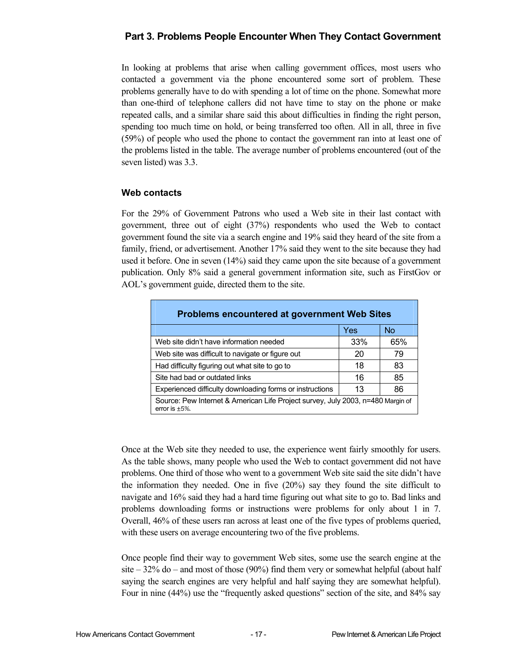## **Part 3. Problems People Encounter When They Contact Government**

In looking at problems that arise when calling government offices, most users who contacted a government via the phone encountered some sort of problem. These problems generally have to do with spending a lot of time on the phone. Somewhat more than one-third of telephone callers did not have time to stay on the phone or make repeated calls, and a similar share said this about difficulties in finding the right person, spending too much time on hold, or being transferred too often. All in all, three in five (59%) of people who used the phone to contact the government ran into at least one of the problems listed in the table. The average number of problems encountered (out of the seven listed) was 3.3.

### **Web contacts**

For the 29% of Government Patrons who used a Web site in their last contact with government, three out of eight (37%) respondents who used the Web to contact government found the site via a search engine and 19% said they heard of the site from a family, friend, or advertisement. Another 17% said they went to the site because they had used it before. One in seven (14%) said they came upon the site because of a government publication. Only 8% said a general government information site, such as FirstGov or AOL's government guide, directed them to the site.

| <b>Problems encountered at government Web Sites</b>                                                     |     |           |  |  |  |  |
|---------------------------------------------------------------------------------------------------------|-----|-----------|--|--|--|--|
|                                                                                                         | Yes | <b>No</b> |  |  |  |  |
| Web site didn't have information needed                                                                 | 33% | 65%       |  |  |  |  |
| Web site was difficult to navigate or figure out                                                        | 20  | 79        |  |  |  |  |
| Had difficulty figuring out what site to go to                                                          | 18  | 83        |  |  |  |  |
| Site had bad or outdated links                                                                          | 16  | 85        |  |  |  |  |
| Experienced difficulty downloading forms or instructions                                                | 13  | 86        |  |  |  |  |
| Source: Pew Internet & American Life Project survey, July 2003, n=480 Margin of<br>error is $\pm 5\%$ . |     |           |  |  |  |  |

Once at the Web site they needed to use, the experience went fairly smoothly for users. As the table shows, many people who used the Web to contact government did not have problems. One third of those who went to a government Web site said the site didn't have the information they needed. One in five (20%) say they found the site difficult to navigate and 16% said they had a hard time figuring out what site to go to. Bad links and problems downloading forms or instructions were problems for only about 1 in 7. Overall, 46% of these users ran across at least one of the five types of problems queried, with these users on average encountering two of the five problems.

Once people find their way to government Web sites, some use the search engine at the site  $-32\%$  do  $-$  and most of those (90%) find them very or somewhat helpful (about half saying the search engines are very helpful and half saying they are somewhat helpful). Four in nine (44%) use the "frequently asked questions" section of the site, and 84% say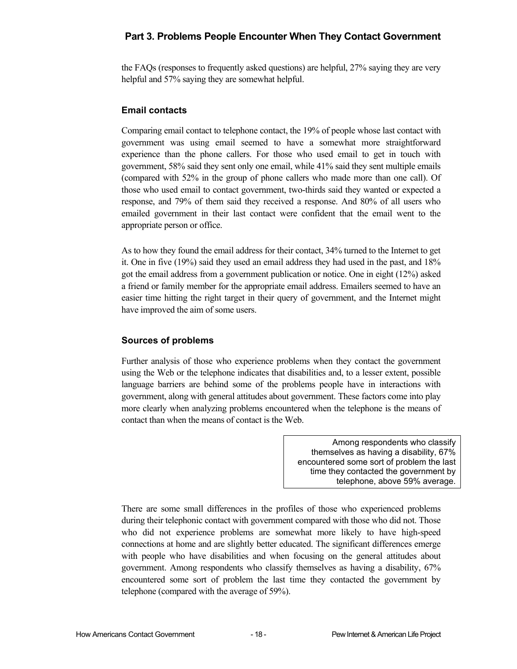## **Part 3. Problems People Encounter When They Contact Government**

the FAQs (responses to frequently asked questions) are helpful, 27% saying they are very helpful and 57% saying they are somewhat helpful.

#### **Email contacts**

Comparing email contact to telephone contact, the 19% of people whose last contact with government was using email seemed to have a somewhat more straightforward experience than the phone callers. For those who used email to get in touch with government, 58% said they sent only one email, while 41% said they sent multiple emails (compared with 52% in the group of phone callers who made more than one call). Of those who used email to contact government, two-thirds said they wanted or expected a response, and 79% of them said they received a response. And 80% of all users who emailed government in their last contact were confident that the email went to the appropriate person or office.

As to how they found the email address for their contact, 34% turned to the Internet to get it. One in five (19%) said they used an email address they had used in the past, and 18% got the email address from a government publication or notice. One in eight (12%) asked a friend or family member for the appropriate email address. Emailers seemed to have an easier time hitting the right target in their query of government, and the Internet might have improved the aim of some users.

## **Sources of problems**

Further analysis of those who experience problems when they contact the government using the Web or the telephone indicates that disabilities and, to a lesser extent, possible language barriers are behind some of the problems people have in interactions with government, along with general attitudes about government. These factors come into play more clearly when analyzing problems encountered when the telephone is the means of contact than when the means of contact is the Web.

> Among respondents who classify themselves as having a disability, 67% encountered some sort of problem the last time they contacted the government by telephone, above 59% average.

There are some small differences in the profiles of those who experienced problems during their telephonic contact with government compared with those who did not. Those who did not experience problems are somewhat more likely to have high-speed connections at home and are slightly better educated. The significant differences emerge with people who have disabilities and when focusing on the general attitudes about government. Among respondents who classify themselves as having a disability, 67% encountered some sort of problem the last time they contacted the government by telephone (compared with the average of 59%).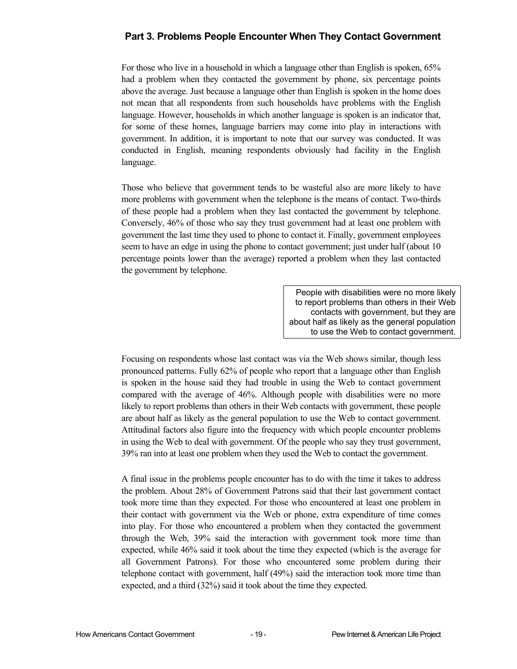## **Part 3. Problems People Encounter When They Contact Government**

For those who live in a household in which a language other than English is spoken, 65% had a problem when they contacted the government by phone, six percentage points above the average. Just because a language other than English is spoken in the home does not mean that all respondents from such households have problems with the English language. However, households in which another language is spoken is an indicator that, for some of these homes, language barriers may come into play in interactions with government. In addition, it is important to note that our survey was conducted. It was conducted in English, meaning respondents obviously had facility in the English language.

Those who believe that government tends to be wasteful also are more likely to have more problems with government when the telephone is the means of contact. Two-thirds of these people had a problem when they last contacted the government by telephone. Conversely, 46% of those who say they trust government had at least one problem with government the last time they used to phone to contact it. Finally, government employees seem to have an edge in using the phone to contact government; just under half (about 10 percentage points lower than the average) reported a problem when they last contacted the government by telephone.

> People with disabilities were no more likely to report problems than others in their Web contacts with government, but they are about half as likely as the general population to use the Web to contact government.

Focusing on respondents whose last contact was via the Web shows similar, though less pronounced patterns. Fully 62% of people who report that a language other than English is spoken in the house said they had trouble in using the Web to contact government compared with the average of 46%. Although people with disabilities were no more likely to report problems than others in their Web contacts with government, these people are about half as likely as the general population to use the Web to contact government. Attitudinal factors also figure into the frequency with which people encounter problems in using the Web to deal with government. Of the people who say they trust government, 39% ran into at least one problem when they used the Web to contact the government.

A final issue in the problems people encounter has to do with the time it takes to address the problem. About 28% of Government Patrons said that their last government contact took more time than they expected. For those who encountered at least one problem in their contact with government via the Web or phone, extra expenditure of time comes into play. For those who encountered a problem when they contacted the government through the Web, 39% said the interaction with government took more time than expected, while 46% said it took about the time they expected (which is the average for all Government Patrons). For those who encountered some problem during their telephone contact with government, half (49%) said the interaction took more time than expected, and a third (32%) said it took about the time they expected.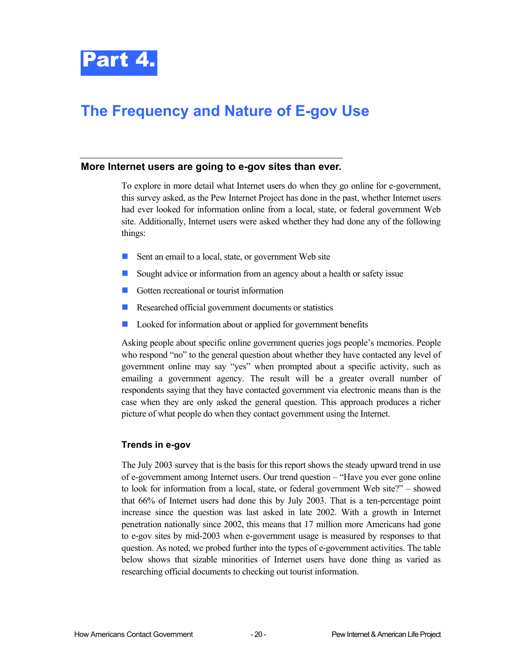

## <span id="page-29-0"></span>**The Frequency and Nature of E-gov Use**

#### **More Internet users are going to e-gov sites than ever.**

To explore in more detail what Internet users do when they go online for e-government, this survey asked, as the Pew Internet Project has done in the past, whether Internet users had ever looked for information online from a local, state, or federal government Web site. Additionally, Internet users were asked whether they had done any of the following things:

- Sent an email to a local, state, or government Web site
- $\overline{\mathcal{A}}$ Sought advice or information from an agency about a health or safety issue
- Gotten recreational or tourist information
- $\mathcal{L}_{\mathcal{A}}$ Researched official government documents or statistics
- $\mathcal{L}_{\mathcal{A}}$ Looked for information about or applied for government benefits

Asking people about specific online government queries jogs people's memories. People who respond "no" to the general question about whether they have contacted any level of government online may say "yes" when prompted about a specific activity, such as emailing a government agency. The result will be a greater overall number of respondents saying that they have contacted government via electronic means than is the case when they are only asked the general question. This approach produces a richer picture of what people do when they contact government using the Internet.

#### **Trends in e-gov**

The July 2003 survey that is the basis for this report shows the steady upward trend in use of e-government among Internet users. Our trend question – "Have you ever gone online to look for information from a local, state, or federal government Web site?" – showed that 66% of Internet users had done this by July 2003. That is a ten-percentage point increase since the question was last asked in late 2002. With a growth in Internet penetration nationally since 2002, this means that 17 million more Americans had gone to e-gov sites by mid-2003 when e-government usage is measured by responses to that question. As noted, we probed further into the types of e-government activities. The table below shows that sizable minorities of Internet users have done thing as varied as researching official documents to checking out tourist information.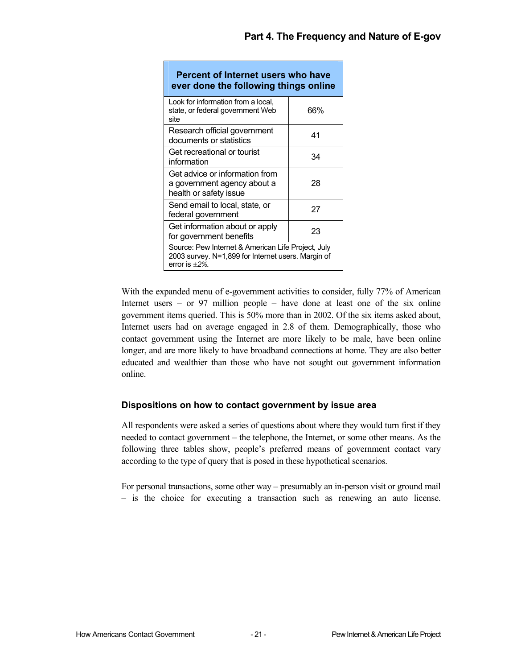| Percent of Internet users who have<br>ever done the following things online                                                   |     |  |  |  |  |  |
|-------------------------------------------------------------------------------------------------------------------------------|-----|--|--|--|--|--|
| Look for information from a local,<br>state, or federal government Web<br>site                                                | 66% |  |  |  |  |  |
| Research official government<br>documents or statistics                                                                       | 41  |  |  |  |  |  |
| Get recreational or tourist<br>information                                                                                    | 34  |  |  |  |  |  |
| Get advice or information from<br>a government agency about a<br>health or safety issue                                       | 28  |  |  |  |  |  |
| Send email to local, state, or<br>federal government                                                                          | 27  |  |  |  |  |  |
| Get information about or apply<br>for government benefits                                                                     | 23  |  |  |  |  |  |
| Source: Pew Internet & American Life Project, July<br>2003 survey. N=1,899 for Internet users. Margin of<br>error is $+2\%$ . |     |  |  |  |  |  |

With the expanded menu of e-government activities to consider, fully 77% of American Internet users – or 97 million people – have done at least one of the six online government items queried. This is 50% more than in 2002. Of the six items asked about, Internet users had on average engaged in 2.8 of them. Demographically, those who contact government using the Internet are more likely to be male, have been online longer, and are more likely to have broadband connections at home. They are also better educated and wealthier than those who have not sought out government information online.

## **Dispositions on how to contact government by issue area**

All respondents were asked a series of questions about where they would turn first if they needed to contact government – the telephone, the Internet, or some other means. As the following three tables show, people's preferred means of government contact vary according to the type of query that is posed in these hypothetical scenarios.

For personal transactions, some other way – presumably an in-person visit or ground mail – is the choice for executing a transaction such as renewing an auto license.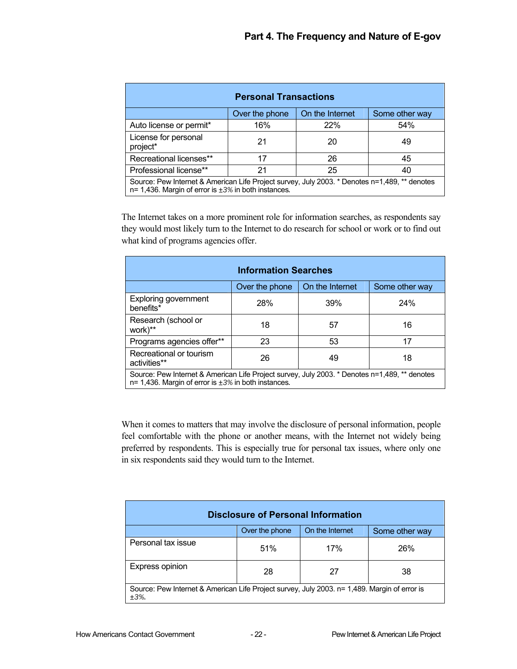| <b>Personal Transactions</b>                                                                                                                                 |                |                 |                |  |  |  |  |
|--------------------------------------------------------------------------------------------------------------------------------------------------------------|----------------|-----------------|----------------|--|--|--|--|
|                                                                                                                                                              | Over the phone | On the Internet | Some other way |  |  |  |  |
| Auto license or permit*                                                                                                                                      | 16%            | 22%             | 54%            |  |  |  |  |
| License for personal<br>project*                                                                                                                             | 21             | 20              | 49             |  |  |  |  |
| Recreational licenses**                                                                                                                                      | 17             | 26              | 45             |  |  |  |  |
| Professional license**                                                                                                                                       | 21             | 25              | 40             |  |  |  |  |
| Source: Pew Internet & American Life Project survey, July 2003. * Denotes n=1,489, ** denotes<br>$n=$ 1,436. Margin of error is $\pm 3\%$ in both instances. |                |                 |                |  |  |  |  |

The Internet takes on a more prominent role for information searches, as respondents say they would most likely turn to the Internet to do research for school or work or to find out what kind of programs agencies offer.

| <b>Information Searches</b>                                                                                                                                  |     |     |     |  |  |  |  |
|--------------------------------------------------------------------------------------------------------------------------------------------------------------|-----|-----|-----|--|--|--|--|
| On the Internet<br>Over the phone<br>Some other way                                                                                                          |     |     |     |  |  |  |  |
| <b>Exploring government</b><br>benefits*                                                                                                                     | 28% | 39% | 24% |  |  |  |  |
| Research (school or<br>work)**                                                                                                                               | 18  | 57  | 16  |  |  |  |  |
| Programs agencies offer**                                                                                                                                    | 23  | 53  | 17  |  |  |  |  |
| Recreational or tourism<br>26<br>18<br>49<br>activities**                                                                                                    |     |     |     |  |  |  |  |
| Source: Pew Internet & American Life Project survey, July 2003. * Denotes n=1,489, ** denotes<br>$n=$ 1,436. Margin of error is $\pm 3\%$ in both instances. |     |     |     |  |  |  |  |

When it comes to matters that may involve the disclosure of personal information, people feel comfortable with the phone or another means, with the Internet not widely being preferred by respondents. This is especially true for personal tax issues, where only one in six respondents said they would turn to the Internet.

| <b>Disclosure of Personal Information</b>                                                                |     |     |     |  |  |  |  |
|----------------------------------------------------------------------------------------------------------|-----|-----|-----|--|--|--|--|
| On the Internet<br>Over the phone<br>Some other way                                                      |     |     |     |  |  |  |  |
| Personal tax issue                                                                                       | 51% | 17% | 26% |  |  |  |  |
| Express opinion                                                                                          | 28  | 27  | 38  |  |  |  |  |
| Source: Pew Internet & American Life Project survey, July 2003. n= 1,489. Margin of error is<br>$±3\%$ . |     |     |     |  |  |  |  |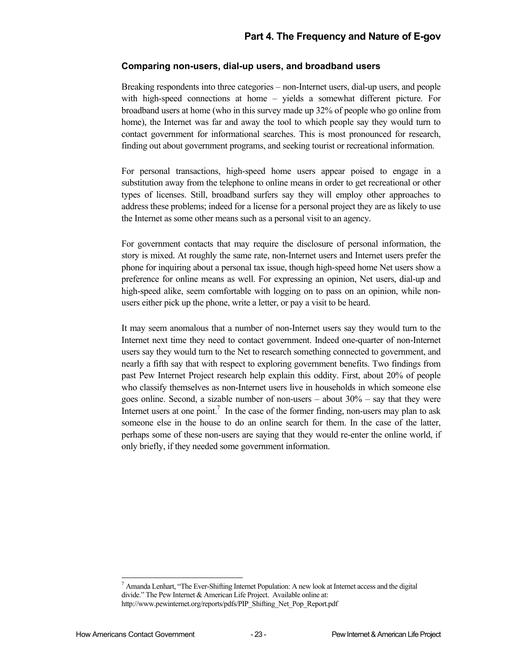#### **Comparing non-users, dial-up users, and broadband users**

Breaking respondents into three categories – non-Internet users, dial-up users, and people with high-speed connections at home – yields a somewhat different picture. For broadband users at home (who in this survey made up 32% of people who go online from home), the Internet was far and away the tool to which people say they would turn to contact government for informational searches. This is most pronounced for research, finding out about government programs, and seeking tourist or recreational information.

For personal transactions, high-speed home users appear poised to engage in a substitution away from the telephone to online means in order to get recreational or other types of licenses. Still, broadband surfers say they will employ other approaches to address these problems; indeed for a license for a personal project they are as likely to use the Internet as some other means such as a personal visit to an agency.

For government contacts that may require the disclosure of personal information, the story is mixed. At roughly the same rate, non-Internet users and Internet users prefer the phone for inquiring about a personal tax issue, though high-speed home Net users show a preference for online means as well. For expressing an opinion, Net users, dial-up and high-speed alike, seem comfortable with logging on to pass on an opinion, while nonusers either pick up the phone, write a letter, or pay a visit to be heard.

It may seem anomalous that a number of non-Internet users say they would turn to the Internet next time they need to contact government. Indeed one-quarter of non-Internet users say they would turn to the Net to research something connected to government, and nearly a fifth say that with respect to exploring government benefits. Two findings from past Pew Internet Project research help explain this oddity. First, about 20% of people who classify themselves as non-Internet users live in households in which someone else goes online. Second, a sizable number of non-users  $-$  about  $30\%$   $-$  say that they were Internet users at one point.<sup>[7](#page-32-0)</sup> In the case of the former finding, non-users may plan to ask someone else in the house to do an online search for them. In the case of the latter, perhaps some of these non-users are saying that they would re-enter the online world, if only briefly, if they needed some government information.

<span id="page-32-0"></span><sup>-&</sup>lt;br>7  $^7$  Amanda Lenhart, "The Ever-Shifting Internet Population: A new look at Internet access and the digital divide." The Pew Internet & American Life Project. Available online at: http://www.pewinternet.org/reports/pdfs/PIP\_Shifting\_Net\_Pop\_Report.pdf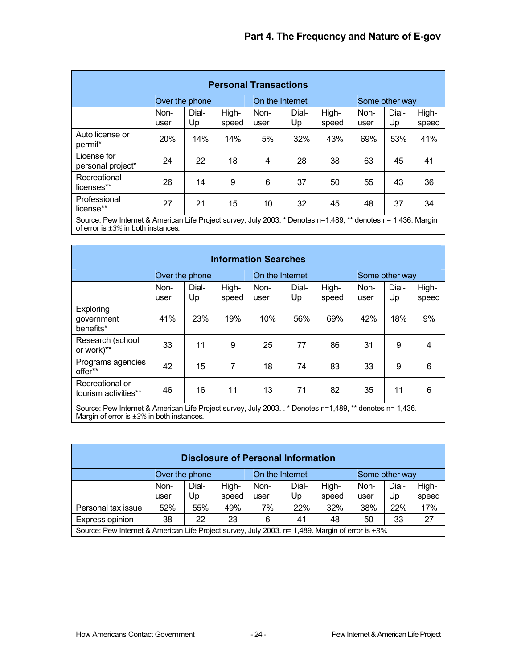| <b>Personal Transactions</b>                                                                                                                               |              |                |                |                 |             |                |              |                |                |
|------------------------------------------------------------------------------------------------------------------------------------------------------------|--------------|----------------|----------------|-----------------|-------------|----------------|--------------|----------------|----------------|
|                                                                                                                                                            |              | Over the phone |                | On the Internet |             |                |              | Some other way |                |
|                                                                                                                                                            | Non-<br>user | Dial-<br>Up    | High-<br>speed | Non-<br>user    | Dial-<br>Up | High-<br>speed | Non-<br>user | Dial-<br>Up    | High-<br>speed |
| Auto license or<br>permit*                                                                                                                                 | <b>20%</b>   | 14%            | 14%            | 5%              | 32%         | 43%            | 69%          | 53%            | 41%            |
| License for<br>personal project*                                                                                                                           | 24           | 22             | 18             | $\overline{4}$  | 28          | 38             | 63           | 45             | 41             |
| Recreational<br>licenses**                                                                                                                                 | 26           | 14             | 9              | 6               | 37          | 50             | 55           | 43             | 36             |
| Professional<br>license**                                                                                                                                  | 27           | 21             | 15             | 10              | 32          | 45             | 48           | 37             | 34             |
| Source: Pew Internet & American Life Project survey, July 2003. * Denotes n=1,489, ** denotes n= 1,436. Margin<br>of error is $\pm 3\%$ in both instances. |              |                |                |                 |             |                |              |                |                |

| <b>Information Searches</b>                                                                                                                                  |                |             |                |                 |             |                |              |                |                |
|--------------------------------------------------------------------------------------------------------------------------------------------------------------|----------------|-------------|----------------|-----------------|-------------|----------------|--------------|----------------|----------------|
|                                                                                                                                                              | Over the phone |             |                | On the Internet |             |                |              | Some other way |                |
|                                                                                                                                                              | Non-<br>user   | Dial-<br>Up | High-<br>speed | Non-<br>user    | Dial-<br>Up | High-<br>speed | Non-<br>user | Dial-<br>Up    | High-<br>speed |
| Exploring<br>government<br>benefits*                                                                                                                         | 41%            | 23%         | 19%            | 10%             | 56%         | 69%            | 42%          | 18%            | 9%             |
| Research (school<br>or work)**                                                                                                                               | 33             | 11          | 9              | 25              | 77          | 86             | 31           | 9              | 4              |
| Programs agencies<br>offer**                                                                                                                                 | 42             | 15          | 7              | 18              | 74          | 83             | 33           | 9              | 6              |
| Recreational or<br>tourism activities**                                                                                                                      | 46             | 16          | 11             | 13              | 71          | 82             | 35           | 11             | 6              |
| Source: Pew Internet & American Life Project survey, July 2003. The Denotes n=1,489, ** denotes n= 1,436.<br>Margin of error is $\pm 3\%$ in both instances. |                |             |                |                 |             |                |              |                |                |

| <b>Disclosure of Personal Information</b> |                                                                                                          |             |                 |              |             |                |              |             |                |
|-------------------------------------------|----------------------------------------------------------------------------------------------------------|-------------|-----------------|--------------|-------------|----------------|--------------|-------------|----------------|
| Over the phone                            |                                                                                                          |             | On the Internet |              |             | Some other way |              |             |                |
|                                           | Non-<br>user                                                                                             | Dial-<br>Up | High-<br>speed  | Non-<br>user | Dial-<br>Up | High-<br>speed | Non-<br>user | Dial-<br>Up | High-<br>speed |
| Personal tax issue                        | 52%                                                                                                      | 55%         | 49%             | 7%           | 22%         | 32%            | 38%          | 22%         | 17%            |
| Express opinion                           | 38                                                                                                       | 22          | 23              | 6            | 41          | 48             | 50           | 33          | 27             |
|                                           | Source: Pew Internet & American Life Project survey, July 2003. n= 1,489. Margin of error is $\pm 3\%$ . |             |                 |              |             |                |              |             |                |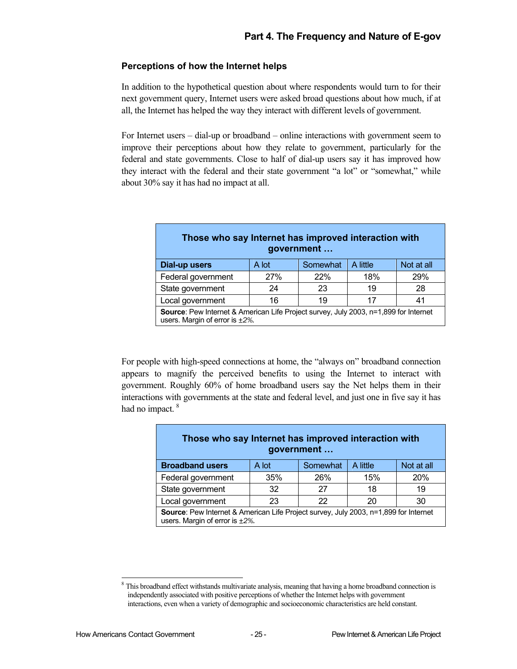## **Perceptions of how the Internet helps**

In addition to the hypothetical question about where respondents would turn to for their next government query, Internet users were asked broad questions about how much, if at all, the Internet has helped the way they interact with different levels of government.

For Internet users – dial-up or broadband – online interactions with government seem to improve their perceptions about how they relate to government, particularly for the federal and state governments. Close to half of dial-up users say it has improved how they interact with the federal and their state government "a lot" or "somewhat," while about 30% say it has had no impact at all.

| Those who say Internet has improved interaction with<br>government                                                                   |     |     |     |     |  |  |  |
|--------------------------------------------------------------------------------------------------------------------------------------|-----|-----|-----|-----|--|--|--|
| Not at all<br>Somewhat<br>A little<br>Dial-up users<br>A lot                                                                         |     |     |     |     |  |  |  |
| Federal government                                                                                                                   | 27% | 22% | 18% | 29% |  |  |  |
| State government                                                                                                                     | 24  | 23  | 19  | 28  |  |  |  |
| Local government                                                                                                                     | 16  | 19  | 17  | 41  |  |  |  |
| <b>Source:</b> Pew Internet & American Life Project survey, July 2003, n=1,899 for Internet<br>users. Margin of error is $\pm 2\%$ . |     |     |     |     |  |  |  |

For people with high-speed connections at home, the "always on" broadband connection appears to magnify the perceived benefits to using the Internet to interact with government. Roughly 60% of home broadband users say the Net helps them in their interactions with governments at the state and federal level, and just one in five say it has had no impact.<sup>8</sup>

| Those who say Internet has improved interaction with<br>government                                                            |       |          |          |            |  |  |  |
|-------------------------------------------------------------------------------------------------------------------------------|-------|----------|----------|------------|--|--|--|
| <b>Broadband users</b>                                                                                                        | A lot | Somewhat | A little | Not at all |  |  |  |
| Federal government                                                                                                            | 35%   | 26%      | 15%      | 20%        |  |  |  |
| State government                                                                                                              | 32    | 27       | 18       | 19         |  |  |  |
| Local government                                                                                                              | 23    | 22       | 20       | 30         |  |  |  |
| Source: Pew Internet & American Life Project survey, July 2003, n=1,899 for Internet<br>users. Margin of error is $\pm 2\%$ . |       |          |          |            |  |  |  |

<span id="page-34-0"></span>This broadband effect withstands multivariate analysis, meaning that having a home broadband connection is independently associated with positive perceptions of whether the Internet helps with government interactions, even when a variety of demographic and socioeconomic characteristics are held constant.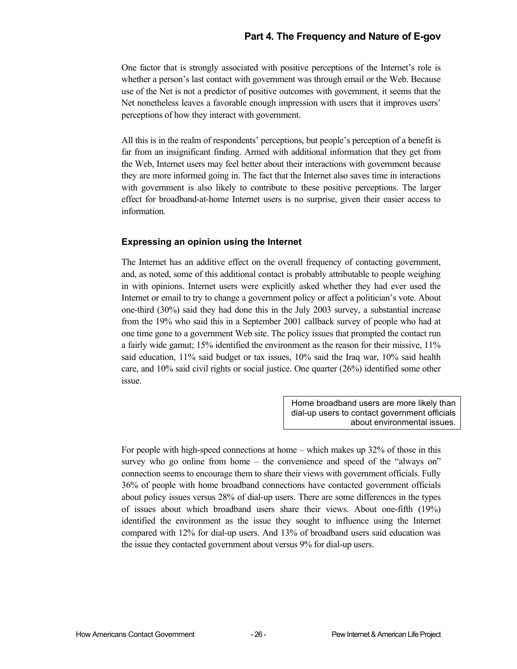One factor that is strongly associated with positive perceptions of the Internet's role is whether a person's last contact with government was through email or the Web. Because use of the Net is not a predictor of positive outcomes with government, it seems that the Net nonetheless leaves a favorable enough impression with users that it improves users' perceptions of how they interact with government.

All this is in the realm of respondents' perceptions, but people's perception of a benefit is far from an insignificant finding. Armed with additional information that they get from the Web, Internet users may feel better about their interactions with government because they are more informed going in. The fact that the Internet also saves time in interactions with government is also likely to contribute to these positive perceptions. The larger effect for broadband-at-home Internet users is no surprise, given their easier access to information.

## **Expressing an opinion using the Internet**

The Internet has an additive effect on the overall frequency of contacting government, and, as noted, some of this additional contact is probably attributable to people weighing in with opinions. Internet users were explicitly asked whether they had ever used the Internet or email to try to change a government policy or affect a politician's vote. About one-third (30%) said they had done this in the July 2003 survey, a substantial increase from the 19% who said this in a September 2001 callback survey of people who had at one time gone to a government Web site. The policy issues that prompted the contact run a fairly wide gamut; 15% identified the environment as the reason for their missive, 11% said education, 11% said budget or tax issues, 10% said the Iraq war, 10% said health care, and 10% said civil rights or social justice. One quarter (26%) identified some other issue.

> Home broadband users are more likely than dial-up users to contact government officials about environmental issues.

For people with high-speed connections at home – which makes up 32% of those in this survey who go online from home – the convenience and speed of the "always on" connection seems to encourage them to share their views with government officials. Fully 36% of people with home broadband connections have contacted government officials about policy issues versus 28% of dial-up users. There are some differences in the types of issues about which broadband users share their views. About one-fifth (19%) identified the environment as the issue they sought to influence using the Internet compared with 12% for dial-up users. And 13% of broadband users said education was the issue they contacted government about versus 9% for dial-up users.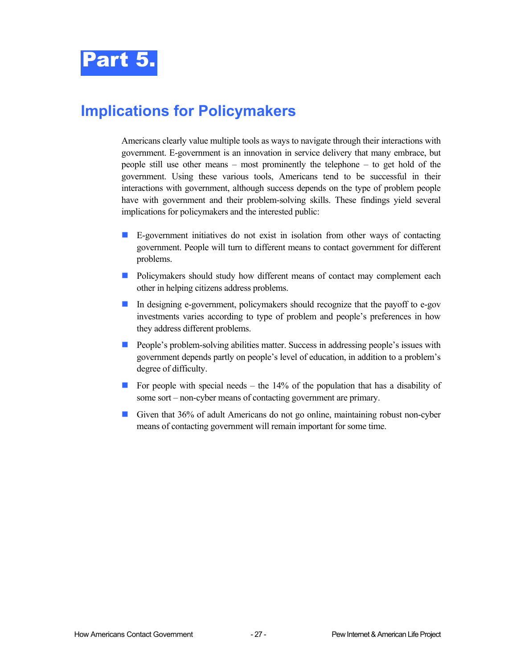## <span id="page-36-0"></span>**Implications for Policymakers**

Americans clearly value multiple tools as ways to navigate through their interactions with government. E-government is an innovation in service delivery that many embrace, but people still use other means – most prominently the telephone – to get hold of the government. Using these various tools, Americans tend to be successful in their interactions with government, although success depends on the type of problem people have with government and their problem-solving skills. These findings yield several implications for policymakers and the interested public:

- **E-government initiatives do not exist in isolation from other ways of contacting** government. People will turn to different means to contact government for different problems.
- **Policymakers should study how different means of contact may complement each** other in helping citizens address problems.
- In designing e-government, policymakers should recognize that the payoff to e-gov investments varies according to type of problem and people's preferences in how they address different problems.
- **People's problem-solving abilities matter. Success in addressing people's issues with** government depends partly on people's level of education, in addition to a problem's degree of difficulty.
- For people with special needs the  $14\%$  of the population that has a disability of some sort – non-cyber means of contacting government are primary.
- Given that 36% of adult Americans do not go online, maintaining robust non-cyber means of contacting government will remain important for some time.